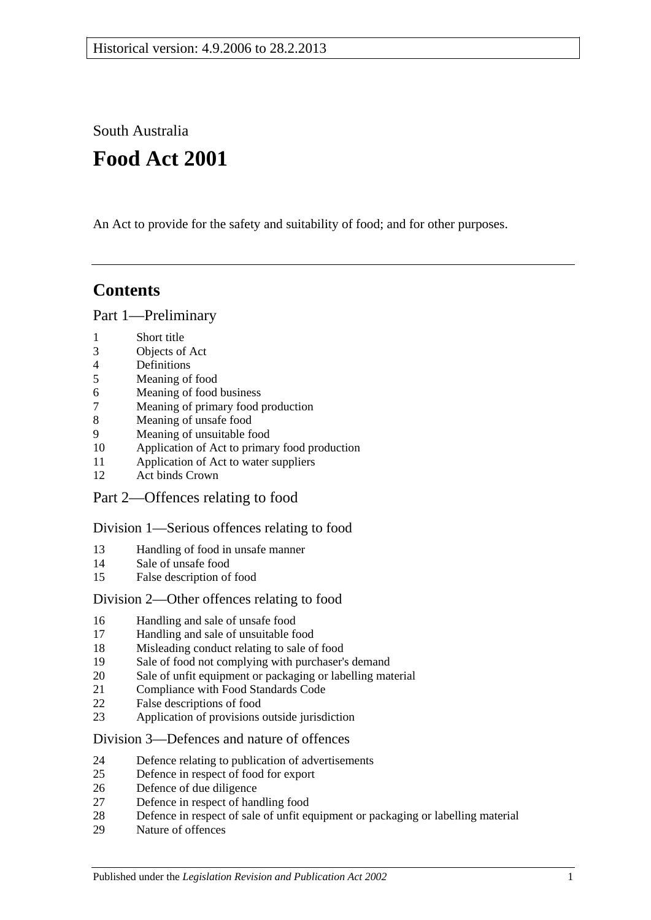South Australia

# **Food Act 2001**

An Act to provide for the safety and suitability of food; and for other purposes.

# **Contents**

[Part 1—Preliminary](#page-3-0)

- [Short title](#page-3-1)
- [Objects of Act](#page-3-2)
- [Definitions](#page-3-3)
- [Meaning of food](#page-7-0)
- [Meaning of food business](#page-7-1)
- [Meaning of primary food production](#page-7-2)
- [Meaning of unsafe food](#page-8-0)
- [Meaning of unsuitable food](#page-9-0)
- [Application of Act to primary food production](#page-10-0)
- [Application of Act to water suppliers](#page-10-1)
- [Act binds Crown](#page-10-2)
- [Part 2—Offences relating to food](#page-10-3)

## [Division 1—Serious offences relating to food](#page-10-4)

- [Handling of food in unsafe manner](#page-10-5)
- [Sale of unsafe food](#page-11-0)
- [False description of food](#page-11-1)

## [Division 2—Other offences relating to food](#page-12-0)

- [Handling and sale of unsafe food](#page-12-1)
- [Handling and sale of unsuitable food](#page-12-2)
- [Misleading conduct relating to sale of food](#page-12-3)
- [Sale of food not complying with purchaser's demand](#page-13-0)
- [Sale of unfit equipment or packaging or labelling material](#page-13-1)
- [Compliance with Food Standards Code](#page-14-0)
- [False descriptions of food](#page-14-1)
- [Application of provisions outside jurisdiction](#page-15-0)

## [Division 3—Defences and nature of offences](#page-15-1)

- [Defence relating to publication of advertisements](#page-15-2)
- [Defence in respect of food for export](#page-15-3)
- [Defence of due diligence](#page-16-0)
- [Defence in respect of handling food](#page-17-0)
- [Defence in respect of sale of unfit equipment or packaging or labelling material](#page-17-1)
- [Nature of offences](#page-17-2)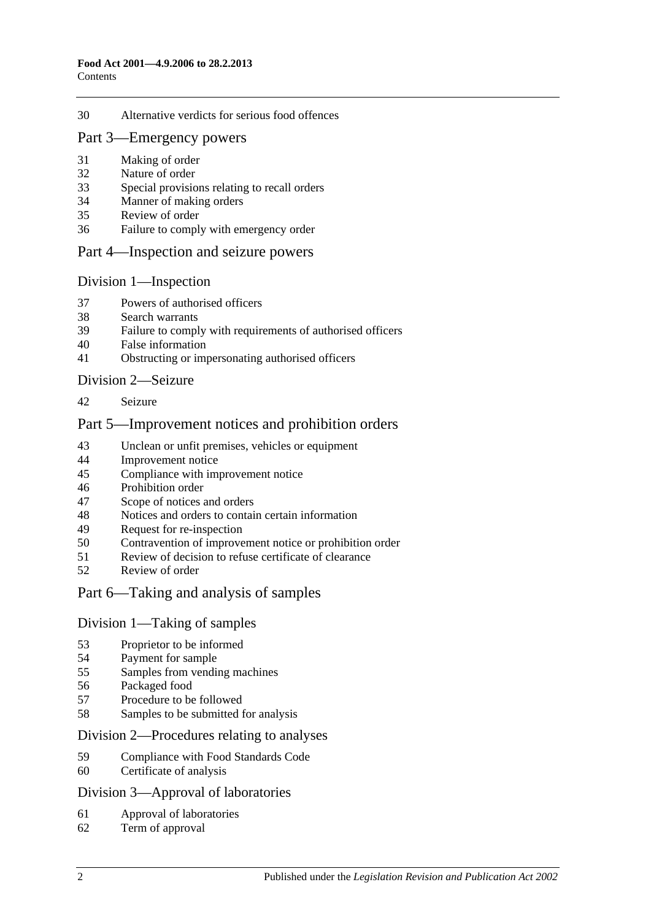#### [Alternative verdicts for serious food offences](#page-17-3)

#### [Part 3—Emergency powers](#page-18-0)

- [Making of order](#page-18-1)
- [Nature of order](#page-18-2)
- [Special provisions relating to recall orders](#page-18-3)
- [Manner of making orders](#page-19-0)
- [Review of order](#page-19-1)
- [Failure to comply with emergency order](#page-20-0)

#### [Part 4—Inspection and seizure powers](#page-20-1)

#### [Division 1—Inspection](#page-20-2)

- [Powers of authorised officers](#page-20-3)
- [Search warrants](#page-22-0)
- [Failure to comply with requirements of authorised officers](#page-22-1)
- [False information](#page-22-2)
- [Obstructing or impersonating authorised officers](#page-22-3)

#### [Division 2—Seizure](#page-23-0)

[Seizure](#page-23-1)

## [Part 5—Improvement notices and prohibition orders](#page-25-0)

- [Unclean or unfit premises, vehicles or equipment](#page-25-1)
- [Improvement notice](#page-25-2)
- [Compliance with improvement notice](#page-26-0)
- [Prohibition order](#page-26-1)
- [Scope of notices and orders](#page-27-0)
- [Notices and orders to contain certain information](#page-27-1)
- [Request for re-inspection](#page-27-2)
- [Contravention of improvement notice or prohibition order](#page-28-0)<br>51 Review of decision to refuse certificate of clearance
- [Review of decision to refuse certificate of clearance](#page-28-1)
- [Review of order](#page-28-2)

## [Part 6—Taking and analysis of samples](#page-29-0)

#### [Division 1—Taking of samples](#page-29-1)

- [Proprietor to be informed](#page-29-2)<br>54 Payment for sample
- [Payment for sample](#page-29-3)
- [Samples from vending machines](#page-29-4)
- [Packaged food](#page-29-5)
- Procedure [to be followed](#page-29-6)
- [Samples to be submitted for analysis](#page-30-0)

#### [Division 2—Procedures relating to analyses](#page-30-1)

- [Compliance with Food Standards Code](#page-30-2)
- [Certificate of analysis](#page-30-3)

#### [Division 3—Approval of laboratories](#page-31-0)

- [Approval of laboratories](#page-31-1)
- [Term of approval](#page-31-2)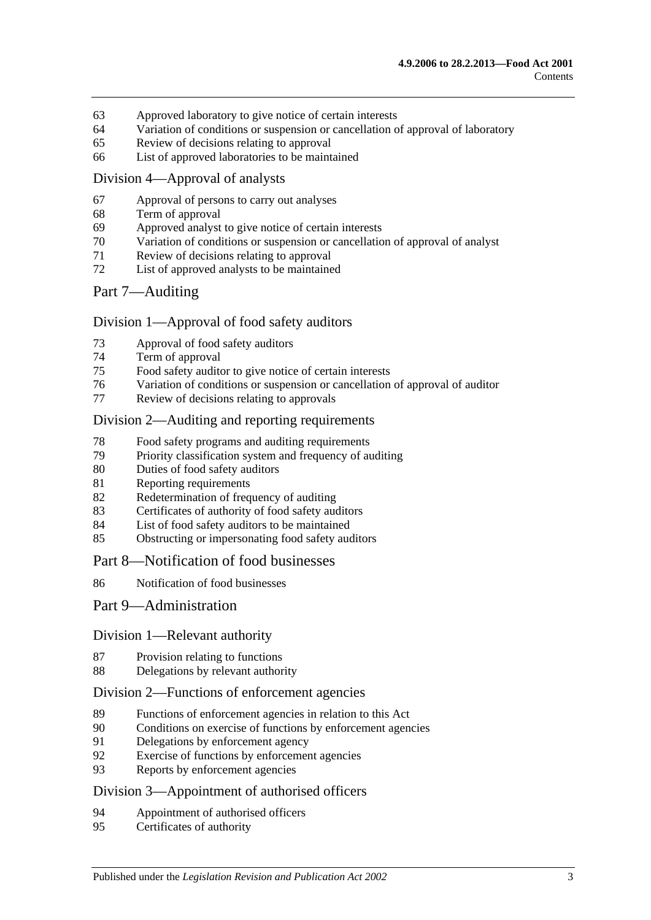- [Approved laboratory to give notice of certain interests](#page-32-0)
- [Variation of conditions or suspension or cancellation of approval of laboratory](#page-32-1)
- [Review of decisions relating to approval](#page-33-0)
- [List of approved laboratories to be maintained](#page-33-1)

#### [Division 4—Approval of analysts](#page-33-2)

- [Approval of persons to carry out analyses](#page-33-3)
- [Term of approval](#page-33-4)
- [Approved analyst to give notice of certain interests](#page-34-0)
- [Variation of conditions or suspension or cancellation of approval of analyst](#page-34-1)
- [Review of decisions relating to approval](#page-34-2)
- [List of approved analysts to be maintained](#page-35-0)

#### [Part 7—Auditing](#page-35-1)

#### [Division 1—Approval of food safety auditors](#page-35-2)

- [Approval of food safety auditors](#page-35-3)
- [Term of approval](#page-35-4)
- [Food safety auditor to give notice of certain interests](#page-36-0)
- [Variation of conditions or suspension or cancellation of approval of auditor](#page-36-1)
- [Review of decisions relating to approvals](#page-37-0)

#### [Division 2—Auditing and reporting requirements](#page-37-1)

- [Food safety programs and auditing requirements](#page-37-2)
- [Priority classification system and frequency of auditing](#page-37-3)
- [Duties of food safety auditors](#page-38-0)
- [Reporting requirements](#page-38-1)
- [Redetermination of frequency of auditing](#page-39-0)
- [Certificates of authority of food safety auditors](#page-40-0)
- [List of food safety auditors to be maintained](#page-40-1)
- [Obstructing or impersonating food safety auditors](#page-40-2)

#### [Part 8—Notification of food businesses](#page-40-3)

[Notification of food businesses](#page-40-4)

#### [Part 9—Administration](#page-41-0)

#### [Division 1—Relevant authority](#page-41-1)

- [Provision relating to functions](#page-41-2)
- [Delegations by relevant authority](#page-41-3)

#### [Division 2—Functions of enforcement agencies](#page-42-0)

- [Functions of enforcement agencies in relation to this Act](#page-42-1)<br>90 Conditions on exercise of functions by enforcement agency
- [Conditions on exercise of functions by enforcement agencies](#page-42-2)
- [Delegations by enforcement agency](#page-42-3)
- [Exercise of functions by enforcement agencies](#page-43-0)
- [Reports by enforcement agencies](#page-43-1)

#### [Division 3—Appointment of authorised officers](#page-43-2)

- [Appointment of authorised officers](#page-43-3)
- [Certificates of authority](#page-43-4)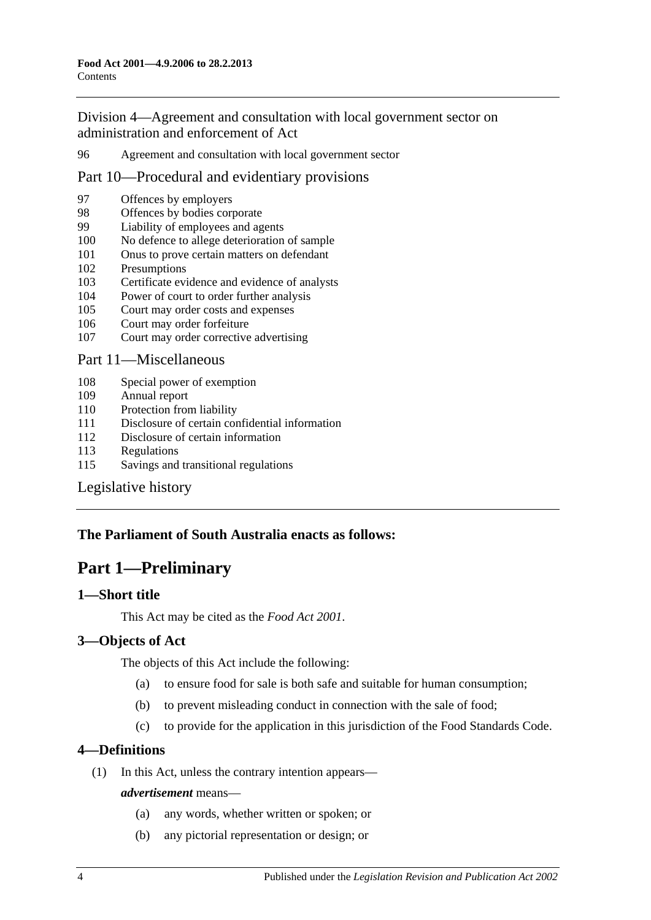[Division 4—Agreement and consultation with local government sector on](#page-43-5)  [administration and enforcement of Act](#page-43-5)

96 [Agreement and consultation with local government sector](#page-43-6)

## [Part 10—Procedural and evidentiary provisions](#page-44-0)

- 97 [Offences by employers](#page-44-1)
- 98 [Offences by bodies corporate](#page-44-2)<br>99 Liability of employees and ag
- [Liability of employees and agents](#page-44-3)
- 100 [No defence to allege deterioration of sample](#page-45-0)
- 101 [Onus to prove certain matters on defendant](#page-45-1)
- 102 [Presumptions](#page-45-2)
- 103 [Certificate evidence and evidence of analysts](#page-46-0)
- 104 [Power of court to order further analysis](#page-47-0)
- 105 [Court may order costs and expenses](#page-47-1)
- 106 [Court may order forfeiture](#page-47-2)
- 107 [Court may order corrective advertising](#page-47-3)

#### [Part 11—Miscellaneous](#page-47-4)

- 108 [Special power of exemption](#page-47-5)
- 109 [Annual report](#page-48-0)
- 110 [Protection from liability](#page-48-1)
- 111 [Disclosure of certain confidential information](#page-48-2)
- 112 [Disclosure of certain information](#page-48-3)
- 113 [Regulations](#page-49-0)
- 115 [Savings and transitional regulations](#page-51-0)

## [Legislative history](#page-52-0)

## <span id="page-3-0"></span>**The Parliament of South Australia enacts as follows:**

# **Part 1—Preliminary**

## <span id="page-3-1"></span>**1—Short title**

This Act may be cited as the *Food Act 2001*.

## <span id="page-3-2"></span>**3—Objects of Act**

The objects of this Act include the following:

- (a) to ensure food for sale is both safe and suitable for human consumption;
- (b) to prevent misleading conduct in connection with the sale of food;
- (c) to provide for the application in this jurisdiction of the Food Standards Code.

## <span id="page-3-3"></span>**4—Definitions**

(1) In this Act, unless the contrary intention appears—

#### *advertisement* means—

- (a) any words, whether written or spoken; or
- (b) any pictorial representation or design; or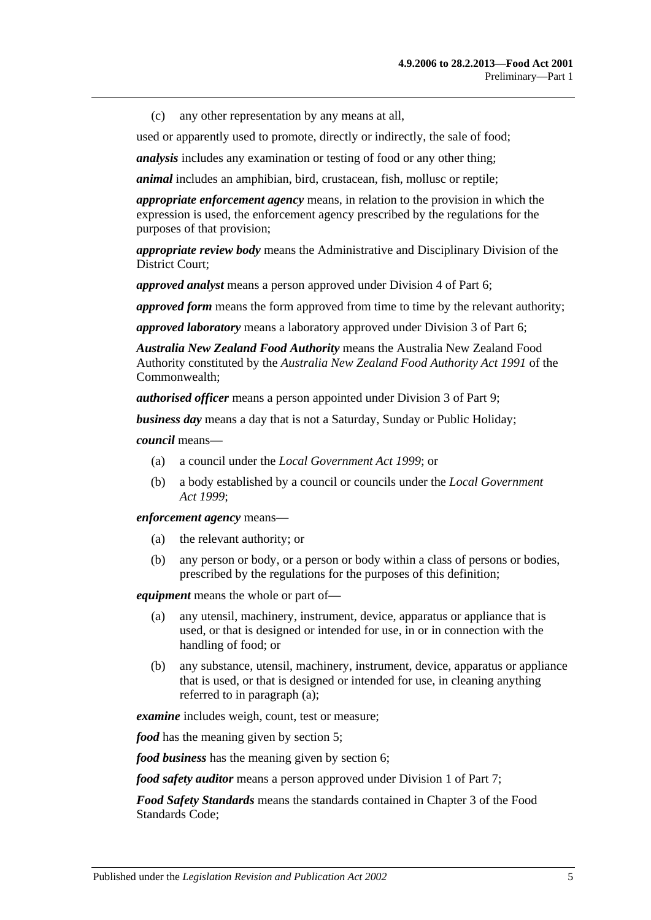(c) any other representation by any means at all,

used or apparently used to promote, directly or indirectly, the sale of food;

*analysis* includes any examination or testing of food or any other thing;

*animal* includes an amphibian, bird, crustacean, fish, mollusc or reptile;

*appropriate enforcement agency* means, in relation to the provision in which the expression is used, the enforcement agency prescribed by the regulations for the purposes of that provision;

*appropriate review body* means the Administrative and Disciplinary Division of the District Court;

*approved analyst* means a person approved under [Division 4](#page-33-2) of [Part 6;](#page-29-0)

*approved form* means the form approved from time to time by the relevant authority;

*approved laboratory* means a laboratory approved under [Division 3](#page-31-0) of [Part 6;](#page-29-0)

*Australia New Zealand Food Authority* means the Australia New Zealand Food Authority constituted by the *Australia New Zealand Food Authority Act 1991* of the Commonwealth;

*authorised officer* means a person appointed under [Division 3](#page-43-2) of [Part 9;](#page-41-0)

*business day* means a day that is not a Saturday, Sunday or Public Holiday;

*council* means—

- (a) a council under the *[Local Government Act](http://www.legislation.sa.gov.au/index.aspx?action=legref&type=act&legtitle=Local%20Government%20Act%201999) 1999*; or
- (b) a body established by a council or councils under the *[Local Government](http://www.legislation.sa.gov.au/index.aspx?action=legref&type=act&legtitle=Local%20Government%20Act%201999)  Act [1999](http://www.legislation.sa.gov.au/index.aspx?action=legref&type=act&legtitle=Local%20Government%20Act%201999)*;

*enforcement agency* means—

- (a) the relevant authority; or
- (b) any person or body, or a person or body within a class of persons or bodies, prescribed by the regulations for the purposes of this definition;

<span id="page-4-0"></span>*equipment* means the whole or part of—

- (a) any utensil, machinery, instrument, device, apparatus or appliance that is used, or that is designed or intended for use, in or in connection with the handling of food; or
- (b) any substance, utensil, machinery, instrument, device, apparatus or appliance that is used, or that is designed or intended for use, in cleaning anything referred to in [paragraph](#page-4-0) (a);

*examine* includes weigh, count, test or measure;

*food* has the meaning given by [section](#page-7-0) 5;

*food business* has the meaning given by [section](#page-7-1) 6;

*food safety auditor* means a person approved under [Division 1](#page-35-2) of [Part 7;](#page-35-1)

*Food Safety Standards* means the standards contained in Chapter 3 of the Food Standards Code;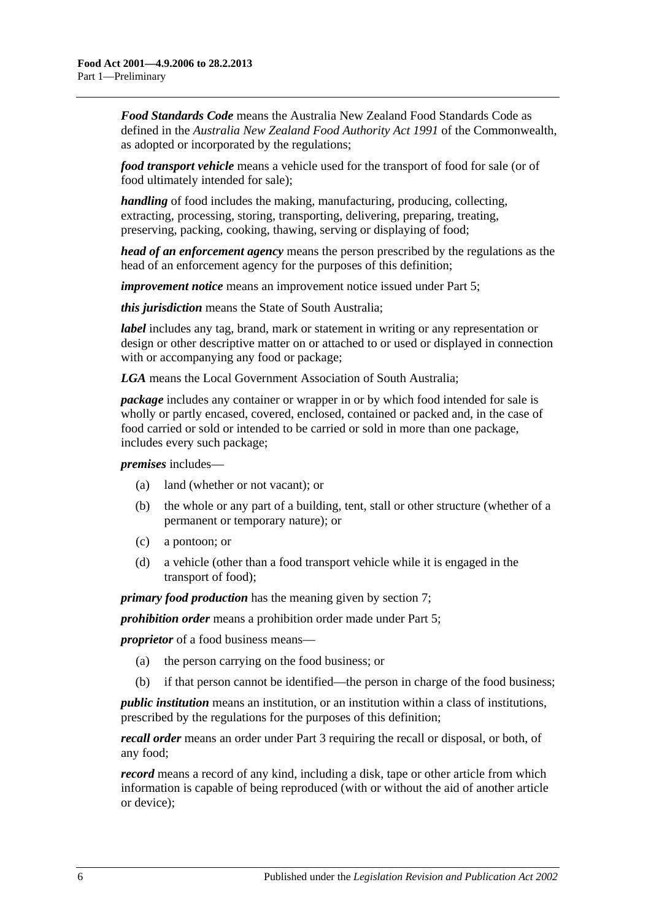*Food Standards Code* means the Australia New Zealand Food Standards Code as defined in the *Australia New Zealand Food Authority Act 1991* of the Commonwealth, as adopted or incorporated by the regulations;

*food transport vehicle* means a vehicle used for the transport of food for sale (or of food ultimately intended for sale);

*handling* of food includes the making, manufacturing, producing, collecting, extracting, processing, storing, transporting, delivering, preparing, treating, preserving, packing, cooking, thawing, serving or displaying of food;

*head of an enforcement agency* means the person prescribed by the regulations as the head of an enforcement agency for the purposes of this definition;

*improvement notice* means an improvement notice issued under [Part 5;](#page-25-0)

*this jurisdiction* means the State of South Australia;

*label* includes any tag, brand, mark or statement in writing or any representation or design or other descriptive matter on or attached to or used or displayed in connection with or accompanying any food or package;

*LGA* means the Local Government Association of South Australia;

*package* includes any container or wrapper in or by which food intended for sale is wholly or partly encased, covered, enclosed, contained or packed and, in the case of food carried or sold or intended to be carried or sold in more than one package, includes every such package;

*premises* includes—

- (a) land (whether or not vacant); or
- (b) the whole or any part of a building, tent, stall or other structure (whether of a permanent or temporary nature); or
- (c) a pontoon; or
- (d) a vehicle (other than a food transport vehicle while it is engaged in the transport of food);

*primary food production* has the meaning given by [section](#page-7-2) 7;

*prohibition order* means a prohibition order made under [Part 5;](#page-25-0)

*proprietor* of a food business means—

- (a) the person carrying on the food business; or
- (b) if that person cannot be identified—the person in charge of the food business;

*public institution* means an institution, or an institution within a class of institutions, prescribed by the regulations for the purposes of this definition;

*recall order* means an order under [Part 3](#page-18-0) requiring the recall or disposal, or both, of any food;

*record* means a record of any kind, including a disk, tape or other article from which information is capable of being reproduced (with or without the aid of another article or device);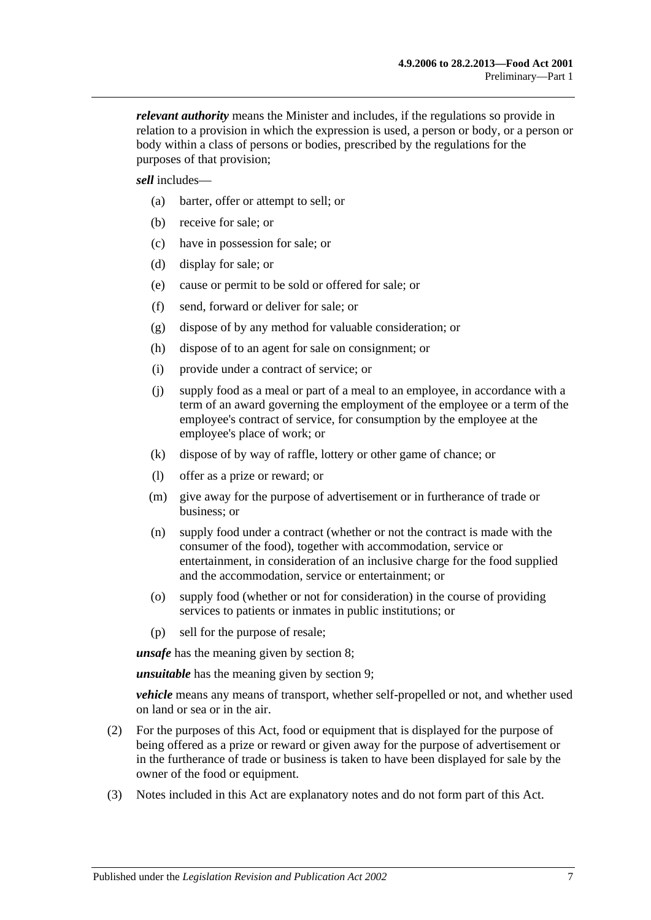*relevant authority* means the Minister and includes, if the regulations so provide in relation to a provision in which the expression is used, a person or body, or a person or body within a class of persons or bodies, prescribed by the regulations for the purposes of that provision;

*sell* includes—

- (a) barter, offer or attempt to sell; or
- (b) receive for sale; or
- (c) have in possession for sale; or
- (d) display for sale; or
- (e) cause or permit to be sold or offered for sale; or
- (f) send, forward or deliver for sale; or
- (g) dispose of by any method for valuable consideration; or
- (h) dispose of to an agent for sale on consignment; or
- (i) provide under a contract of service; or
- (j) supply food as a meal or part of a meal to an employee, in accordance with a term of an award governing the employment of the employee or a term of the employee's contract of service, for consumption by the employee at the employee's place of work; or
- (k) dispose of by way of raffle, lottery or other game of chance; or
- (l) offer as a prize or reward; or
- (m) give away for the purpose of advertisement or in furtherance of trade or business; or
- (n) supply food under a contract (whether or not the contract is made with the consumer of the food), together with accommodation, service or entertainment, in consideration of an inclusive charge for the food supplied and the accommodation, service or entertainment; or
- (o) supply food (whether or not for consideration) in the course of providing services to patients or inmates in public institutions; or
- (p) sell for the purpose of resale;

*unsafe* has the meaning given by [section](#page-8-0) 8;

*unsuitable* has the meaning given by [section](#page-9-0) 9;

*vehicle* means any means of transport, whether self-propelled or not, and whether used on land or sea or in the air.

- (2) For the purposes of this Act, food or equipment that is displayed for the purpose of being offered as a prize or reward or given away for the purpose of advertisement or in the furtherance of trade or business is taken to have been displayed for sale by the owner of the food or equipment.
- (3) Notes included in this Act are explanatory notes and do not form part of this Act.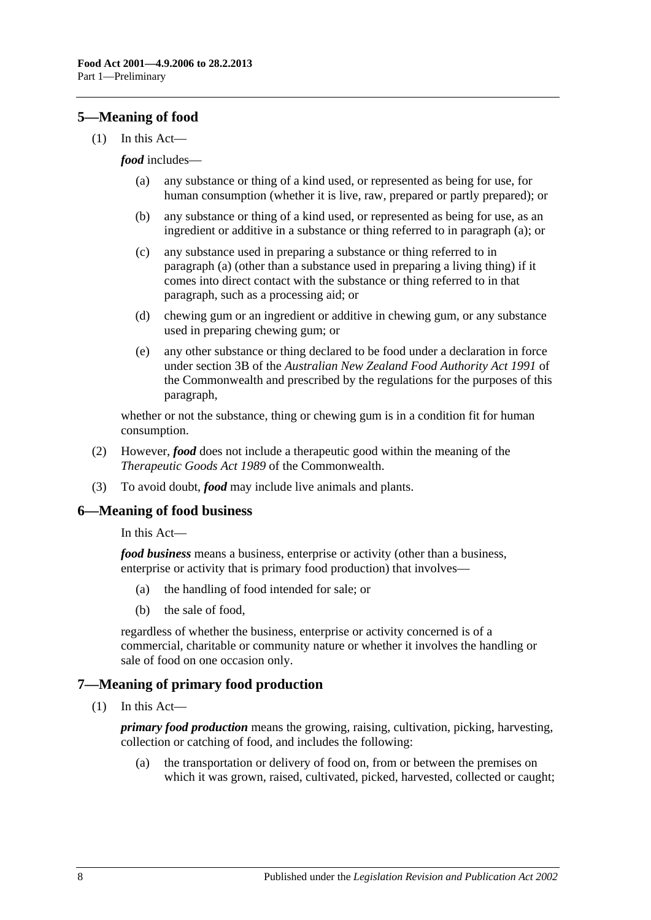## <span id="page-7-0"></span>**5—Meaning of food**

<span id="page-7-3"></span> $(1)$  In this Act—

#### *food* includes—

- (a) any substance or thing of a kind used, or represented as being for use, for human consumption (whether it is live, raw, prepared or partly prepared); or
- (b) any substance or thing of a kind used, or represented as being for use, as an ingredient or additive in a substance or thing referred to in [paragraph](#page-7-3) (a); or
- (c) any substance used in preparing a substance or thing referred to in [paragraph](#page-7-3) (a) (other than a substance used in preparing a living thing) if it comes into direct contact with the substance or thing referred to in that paragraph, such as a processing aid; or
- (d) chewing gum or an ingredient or additive in chewing gum, or any substance used in preparing chewing gum; or
- (e) any other substance or thing declared to be food under a declaration in force under section 3B of the *Australian New Zealand Food Authority Act 1991* of the Commonwealth and prescribed by the regulations for the purposes of this paragraph,

whether or not the substance, thing or chewing gum is in a condition fit for human consumption.

- (2) However, *food* does not include a therapeutic good within the meaning of the *Therapeutic Goods Act 1989* of the Commonwealth.
- (3) To avoid doubt, *food* may include live animals and plants.

#### <span id="page-7-1"></span>**6—Meaning of food business**

#### In this Act—

*food business* means a business, enterprise or activity (other than a business, enterprise or activity that is primary food production) that involves—

- (a) the handling of food intended for sale; or
- (b) the sale of food,

regardless of whether the business, enterprise or activity concerned is of a commercial, charitable or community nature or whether it involves the handling or sale of food on one occasion only.

## <span id="page-7-2"></span>**7—Meaning of primary food production**

(1) In this Act—

*primary food production* means the growing, raising, cultivation, picking, harvesting, collection or catching of food, and includes the following:

(a) the transportation or delivery of food on, from or between the premises on which it was grown, raised, cultivated, picked, harvested, collected or caught;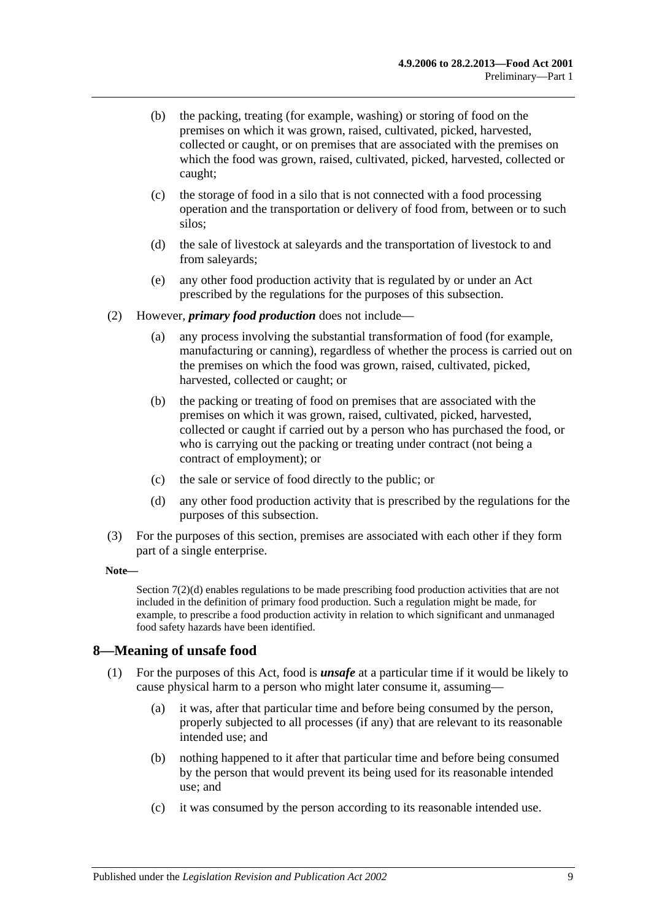- (b) the packing, treating (for example, washing) or storing of food on the premises on which it was grown, raised, cultivated, picked, harvested, collected or caught, or on premises that are associated with the premises on which the food was grown, raised, cultivated, picked, harvested, collected or caught;
- (c) the storage of food in a silo that is not connected with a food processing operation and the transportation or delivery of food from, between or to such silos;
- (d) the sale of livestock at saleyards and the transportation of livestock to and from saleyards;
- (e) any other food production activity that is regulated by or under an Act prescribed by the regulations for the purposes of this subsection.
- (2) However, *primary food production* does not include—
	- (a) any process involving the substantial transformation of food (for example, manufacturing or canning), regardless of whether the process is carried out on the premises on which the food was grown, raised, cultivated, picked, harvested, collected or caught; or
	- (b) the packing or treating of food on premises that are associated with the premises on which it was grown, raised, cultivated, picked, harvested, collected or caught if carried out by a person who has purchased the food, or who is carrying out the packing or treating under contract (not being a contract of employment); or
	- (c) the sale or service of food directly to the public; or
	- (d) any other food production activity that is prescribed by the regulations for the purposes of this subsection.
- <span id="page-8-1"></span>(3) For the purposes of this section, premises are associated with each other if they form part of a single enterprise.

#### **Note—**

[Section](#page-8-1) 7(2)(d) enables regulations to be made prescribing food production activities that are not included in the definition of primary food production. Such a regulation might be made, for example, to prescribe a food production activity in relation to which significant and unmanaged food safety hazards have been identified.

#### <span id="page-8-2"></span><span id="page-8-0"></span>**8—Meaning of unsafe food**

- (1) For the purposes of this Act, food is *unsafe* at a particular time if it would be likely to cause physical harm to a person who might later consume it, assuming—
	- (a) it was, after that particular time and before being consumed by the person, properly subjected to all processes (if any) that are relevant to its reasonable intended use; and
	- (b) nothing happened to it after that particular time and before being consumed by the person that would prevent its being used for its reasonable intended use; and
	- (c) it was consumed by the person according to its reasonable intended use.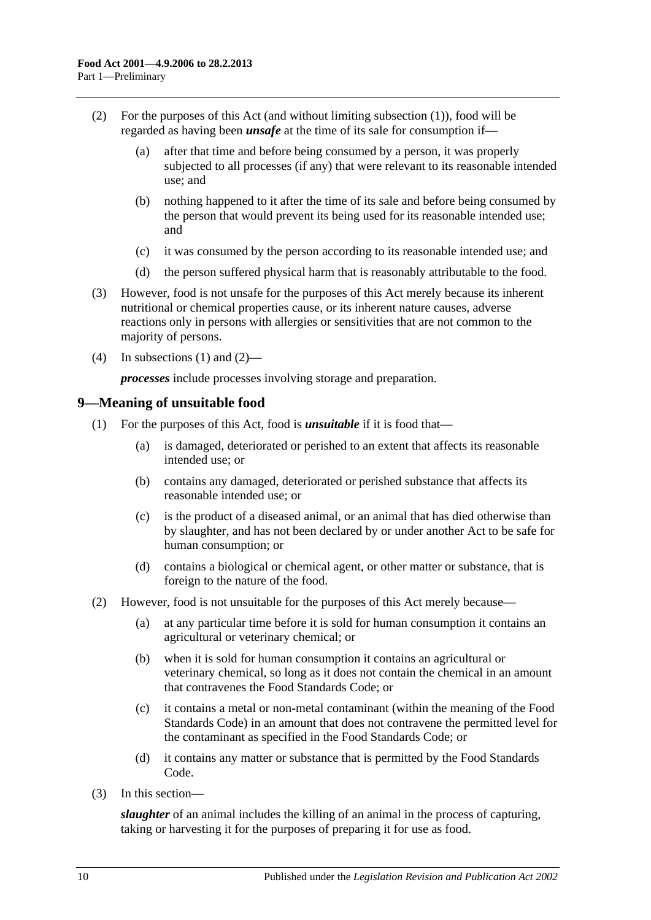- <span id="page-9-1"></span>(2) For the purposes of this Act (and without limiting [subsection](#page-8-2) (1)), food will be regarded as having been *unsafe* at the time of its sale for consumption if—
	- (a) after that time and before being consumed by a person, it was properly subjected to all processes (if any) that were relevant to its reasonable intended use; and
	- (b) nothing happened to it after the time of its sale and before being consumed by the person that would prevent its being used for its reasonable intended use; and
	- (c) it was consumed by the person according to its reasonable intended use; and
	- (d) the person suffered physical harm that is reasonably attributable to the food.
- (3) However, food is not unsafe for the purposes of this Act merely because its inherent nutritional or chemical properties cause, or its inherent nature causes, adverse reactions only in persons with allergies or sensitivities that are not common to the majority of persons.
- (4) In [subsections](#page-8-2) (1) and [\(2\)—](#page-9-1)

*processes* include processes involving storage and preparation.

#### <span id="page-9-0"></span>**9—Meaning of unsuitable food**

- (1) For the purposes of this Act, food is *unsuitable* if it is food that—
	- (a) is damaged, deteriorated or perished to an extent that affects its reasonable intended use; or
	- (b) contains any damaged, deteriorated or perished substance that affects its reasonable intended use; or
	- (c) is the product of a diseased animal, or an animal that has died otherwise than by slaughter, and has not been declared by or under another Act to be safe for human consumption; or
	- (d) contains a biological or chemical agent, or other matter or substance, that is foreign to the nature of the food.
- (2) However, food is not unsuitable for the purposes of this Act merely because—
	- (a) at any particular time before it is sold for human consumption it contains an agricultural or veterinary chemical; or
	- (b) when it is sold for human consumption it contains an agricultural or veterinary chemical, so long as it does not contain the chemical in an amount that contravenes the Food Standards Code; or
	- (c) it contains a metal or non-metal contaminant (within the meaning of the Food Standards Code) in an amount that does not contravene the permitted level for the contaminant as specified in the Food Standards Code; or
	- (d) it contains any matter or substance that is permitted by the Food Standards Code.
- (3) In this section—

*slaughter* of an animal includes the killing of an animal in the process of capturing, taking or harvesting it for the purposes of preparing it for use as food.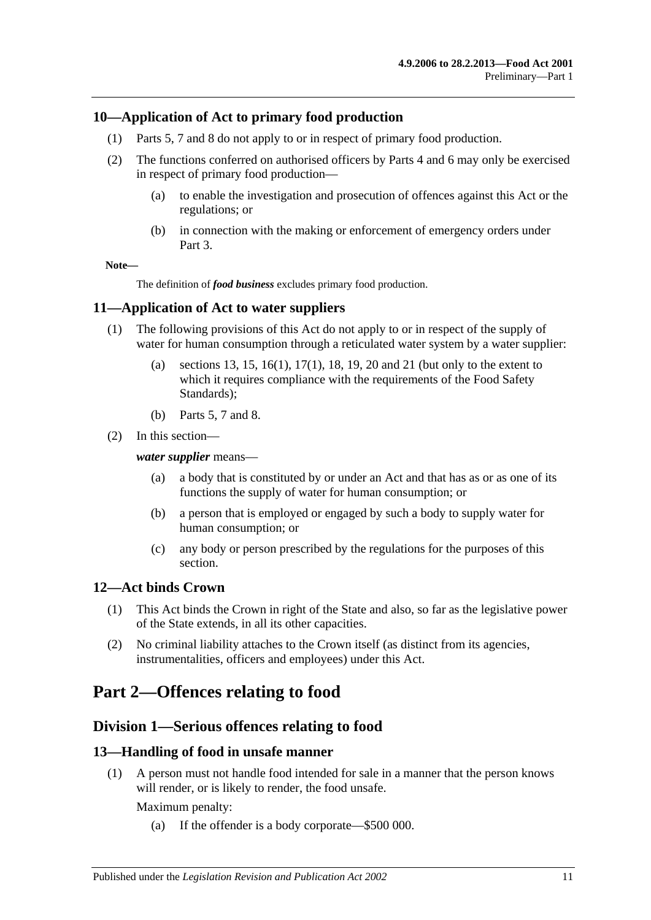## <span id="page-10-0"></span>**10—Application of Act to primary food production**

- (1) [Parts 5,](#page-25-0) [7](#page-35-1) and [8](#page-40-3) do not apply to or in respect of primary food production.
- (2) The functions conferred on authorised officers by [Parts 4](#page-20-1) and [6](#page-29-0) may only be exercised in respect of primary food production—
	- (a) to enable the investigation and prosecution of offences against this Act or the regulations; or
	- (b) in connection with the making or enforcement of emergency orders under [Part 3.](#page-18-0)

#### **Note—**

The definition of *food business* excludes primary food production.

## <span id="page-10-1"></span>**11—Application of Act to water suppliers**

- (1) The following provisions of this Act do not apply to or in respect of the supply of water for human consumption through a reticulated water system by a water supplier:
	- (a) [sections](#page-10-5) 13, [15,](#page-11-1) [16\(1\),](#page-12-4) [17\(1\),](#page-12-5) [18,](#page-12-3) [19,](#page-13-0) [20](#page-13-1) and [21](#page-14-0) (but only to the extent to which it requires compliance with the requirements of the Food Safety Standards);
	- (b) [Parts 5,](#page-25-0) [7](#page-35-1) and [8.](#page-40-3)
- (2) In this section—

#### *water supplier* means—

- (a) a body that is constituted by or under an Act and that has as or as one of its functions the supply of water for human consumption; or
- (b) a person that is employed or engaged by such a body to supply water for human consumption; or
- (c) any body or person prescribed by the regulations for the purposes of this section.

#### <span id="page-10-2"></span>**12—Act binds Crown**

- (1) This Act binds the Crown in right of the State and also, so far as the legislative power of the State extends, in all its other capacities.
- (2) No criminal liability attaches to the Crown itself (as distinct from its agencies, instrumentalities, officers and employees) under this Act.

# <span id="page-10-4"></span><span id="page-10-3"></span>**Part 2—Offences relating to food**

## **Division 1—Serious offences relating to food**

#### <span id="page-10-5"></span>**13—Handling of food in unsafe manner**

(1) A person must not handle food intended for sale in a manner that the person knows will render, or is likely to render, the food unsafe.

Maximum penalty:

(a) If the offender is a body corporate—\$500 000.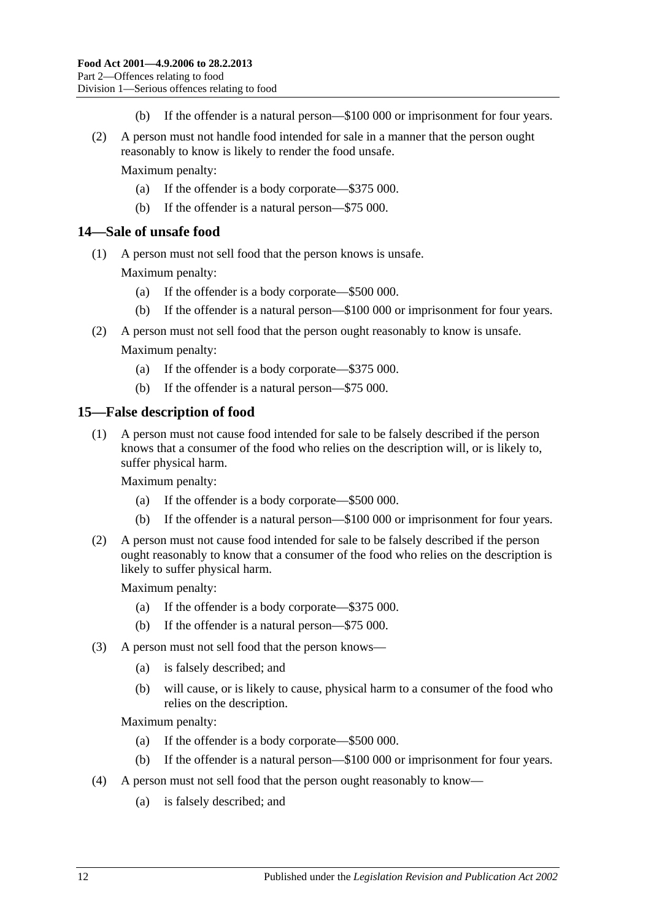- (b) If the offender is a natural person—\$100 000 or imprisonment for four years.
- (2) A person must not handle food intended for sale in a manner that the person ought reasonably to know is likely to render the food unsafe.

Maximum penalty:

- (a) If the offender is a body corporate—\$375 000.
- (b) If the offender is a natural person—\$75 000.

#### <span id="page-11-0"></span>**14—Sale of unsafe food**

(1) A person must not sell food that the person knows is unsafe.

Maximum penalty:

- (a) If the offender is a body corporate—\$500 000.
- (b) If the offender is a natural person—\$100 000 or imprisonment for four years.
- (2) A person must not sell food that the person ought reasonably to know is unsafe. Maximum penalty:
	- (a) If the offender is a body corporate—\$375 000.
	- (b) If the offender is a natural person—\$75 000.

#### <span id="page-11-1"></span>**15—False description of food**

(1) A person must not cause food intended for sale to be falsely described if the person knows that a consumer of the food who relies on the description will, or is likely to, suffer physical harm.

Maximum penalty:

- (a) If the offender is a body corporate—\$500 000.
- (b) If the offender is a natural person—\$100 000 or imprisonment for four years.
- (2) A person must not cause food intended for sale to be falsely described if the person ought reasonably to know that a consumer of the food who relies on the description is likely to suffer physical harm.

Maximum penalty:

- (a) If the offender is a body corporate—\$375 000.
- (b) If the offender is a natural person—\$75 000.
- <span id="page-11-2"></span>(3) A person must not sell food that the person knows—
	- (a) is falsely described; and
	- (b) will cause, or is likely to cause, physical harm to a consumer of the food who relies on the description.

Maximum penalty:

- (a) If the offender is a body corporate—\$500 000.
- (b) If the offender is a natural person—\$100 000 or imprisonment for four years.
- <span id="page-11-3"></span>(4) A person must not sell food that the person ought reasonably to know—
	- (a) is falsely described; and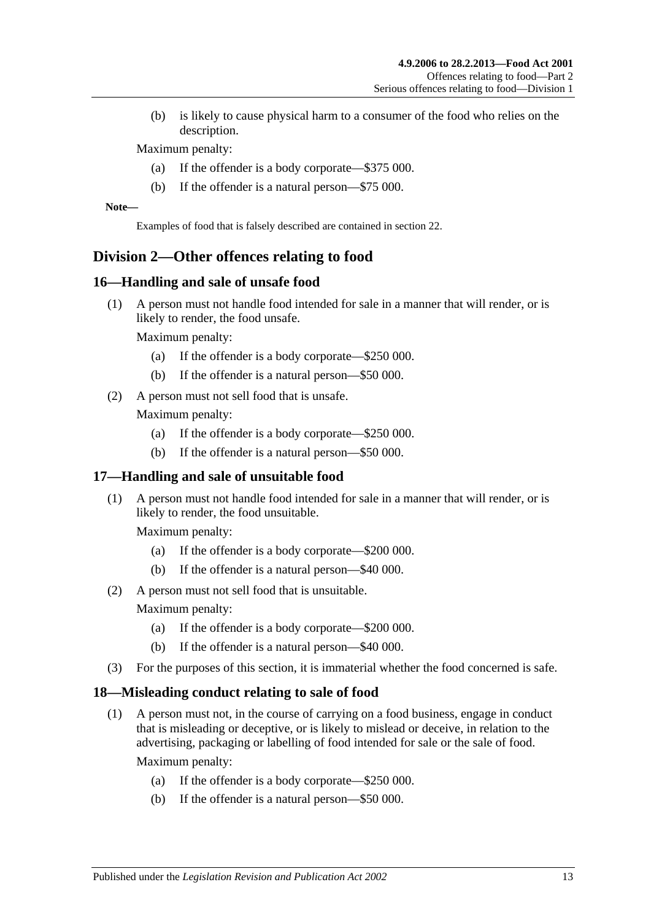(b) is likely to cause physical harm to a consumer of the food who relies on the description.

Maximum penalty:

- (a) If the offender is a body corporate—\$375 000.
- (b) If the offender is a natural person—\$75 000.

**Note—**

Examples of food that is falsely described are contained in [section](#page-14-1) 22.

## <span id="page-12-0"></span>**Division 2—Other offences relating to food**

#### <span id="page-12-4"></span><span id="page-12-1"></span>**16—Handling and sale of unsafe food**

(1) A person must not handle food intended for sale in a manner that will render, or is likely to render, the food unsafe.

Maximum penalty:

- (a) If the offender is a body corporate—\$250 000.
- (b) If the offender is a natural person—\$50 000.
- <span id="page-12-7"></span>(2) A person must not sell food that is unsafe.

Maximum penalty:

- (a) If the offender is a body corporate—\$250 000.
- (b) If the offender is a natural person—\$50 000.

## <span id="page-12-5"></span><span id="page-12-2"></span>**17—Handling and sale of unsuitable food**

(1) A person must not handle food intended for sale in a manner that will render, or is likely to render, the food unsuitable.

Maximum penalty:

- (a) If the offender is a body corporate—\$200 000.
- (b) If the offender is a natural person—\$40 000.
- (2) A person must not sell food that is unsuitable.

Maximum penalty:

- (a) If the offender is a body corporate—\$200 000.
- (b) If the offender is a natural person—\$40 000.
- (3) For the purposes of this section, it is immaterial whether the food concerned is safe.

#### <span id="page-12-6"></span><span id="page-12-3"></span>**18—Misleading conduct relating to sale of food**

(1) A person must not, in the course of carrying on a food business, engage in conduct that is misleading or deceptive, or is likely to mislead or deceive, in relation to the advertising, packaging or labelling of food intended for sale or the sale of food.

Maximum penalty:

- (a) If the offender is a body corporate—\$250 000.
- (b) If the offender is a natural person—\$50 000.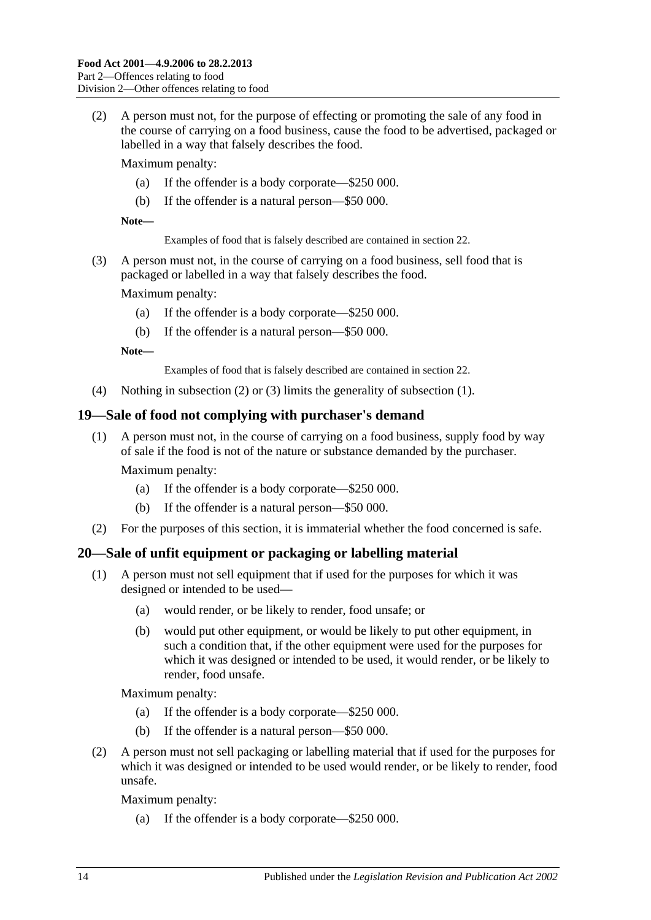<span id="page-13-2"></span>(2) A person must not, for the purpose of effecting or promoting the sale of any food in the course of carrying on a food business, cause the food to be advertised, packaged or labelled in a way that falsely describes the food.

Maximum penalty:

- (a) If the offender is a body corporate—\$250 000.
- (b) If the offender is a natural person—\$50 000.

**Note—**

Examples of food that is falsely described are contained in [section](#page-14-1) 22.

<span id="page-13-3"></span>(3) A person must not, in the course of carrying on a food business, sell food that is packaged or labelled in a way that falsely describes the food.

Maximum penalty:

- (a) If the offender is a body corporate—\$250 000.
- (b) If the offender is a natural person—\$50 000.

**Note—**

Examples of food that is falsely described are contained in [section](#page-14-1) 22.

(4) Nothing in [subsection](#page-13-2) (2) or [\(3\)](#page-13-3) limits the generality of [subsection](#page-12-6) (1).

## <span id="page-13-0"></span>**19—Sale of food not complying with purchaser's demand**

(1) A person must not, in the course of carrying on a food business, supply food by way of sale if the food is not of the nature or substance demanded by the purchaser.

Maximum penalty:

- (a) If the offender is a body corporate—\$250 000.
- (b) If the offender is a natural person—\$50 000.
- (2) For the purposes of this section, it is immaterial whether the food concerned is safe.

## <span id="page-13-4"></span><span id="page-13-1"></span>**20—Sale of unfit equipment or packaging or labelling material**

- (1) A person must not sell equipment that if used for the purposes for which it was designed or intended to be used—
	- (a) would render, or be likely to render, food unsafe; or
	- (b) would put other equipment, or would be likely to put other equipment, in such a condition that, if the other equipment were used for the purposes for which it was designed or intended to be used, it would render, or be likely to render, food unsafe.

Maximum penalty:

- (a) If the offender is a body corporate—\$250 000.
- (b) If the offender is a natural person—\$50 000.
- <span id="page-13-5"></span>(2) A person must not sell packaging or labelling material that if used for the purposes for which it was designed or intended to be used would render, or be likely to render, food unsafe.

Maximum penalty:

(a) If the offender is a body corporate—\$250 000.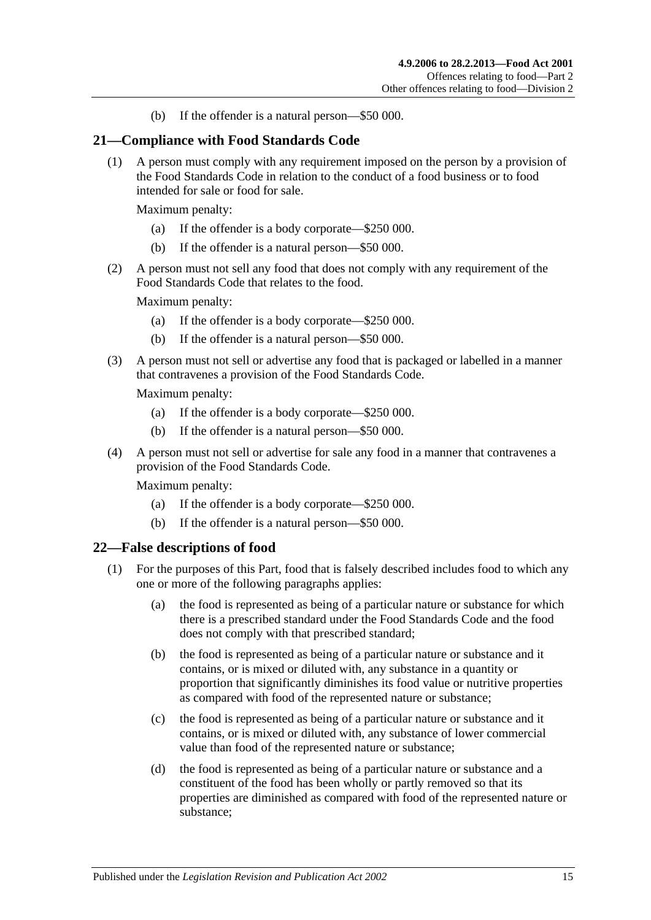(b) If the offender is a natural person—\$50 000.

#### <span id="page-14-0"></span>**21—Compliance with Food Standards Code**

(1) A person must comply with any requirement imposed on the person by a provision of the Food Standards Code in relation to the conduct of a food business or to food intended for sale or food for sale.

Maximum penalty:

- (a) If the offender is a body corporate—\$250 000.
- (b) If the offender is a natural person—\$50 000.
- (2) A person must not sell any food that does not comply with any requirement of the Food Standards Code that relates to the food.

Maximum penalty:

- (a) If the offender is a body corporate—\$250 000.
- (b) If the offender is a natural person—\$50 000.
- (3) A person must not sell or advertise any food that is packaged or labelled in a manner that contravenes a provision of the Food Standards Code.

Maximum penalty:

- (a) If the offender is a body corporate—\$250 000.
- (b) If the offender is a natural person—\$50 000.
- (4) A person must not sell or advertise for sale any food in a manner that contravenes a provision of the Food Standards Code.

Maximum penalty:

- (a) If the offender is a body corporate—\$250 000.
- (b) If the offender is a natural person—\$50 000.

#### <span id="page-14-2"></span><span id="page-14-1"></span>**22—False descriptions of food**

- (1) For the purposes of this Part, food that is falsely described includes food to which any one or more of the following paragraphs applies:
	- (a) the food is represented as being of a particular nature or substance for which there is a prescribed standard under the Food Standards Code and the food does not comply with that prescribed standard;
	- (b) the food is represented as being of a particular nature or substance and it contains, or is mixed or diluted with, any substance in a quantity or proportion that significantly diminishes its food value or nutritive properties as compared with food of the represented nature or substance;
	- (c) the food is represented as being of a particular nature or substance and it contains, or is mixed or diluted with, any substance of lower commercial value than food of the represented nature or substance;
	- (d) the food is represented as being of a particular nature or substance and a constituent of the food has been wholly or partly removed so that its properties are diminished as compared with food of the represented nature or substance;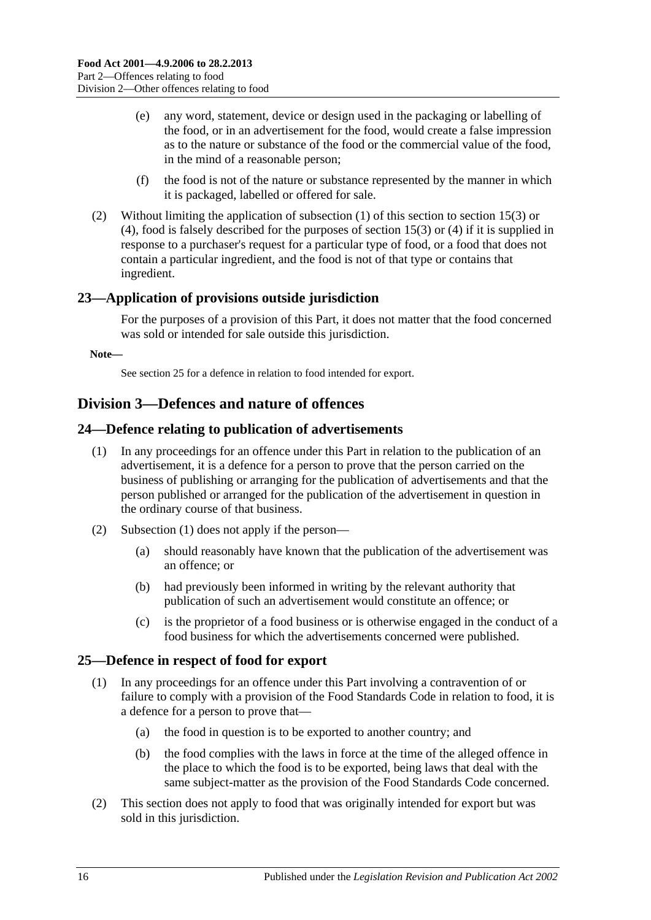- (e) any word, statement, device or design used in the packaging or labelling of the food, or in an advertisement for the food, would create a false impression as to the nature or substance of the food or the commercial value of the food, in the mind of a reasonable person;
- (f) the food is not of the nature or substance represented by the manner in which it is packaged, labelled or offered for sale.
- (2) Without limiting the application of [subsection](#page-14-2) (1) of this section to [section](#page-11-2) 15(3) or [\(4\),](#page-11-3) food is falsely described for the purposes of [section](#page-11-2) 15(3) or [\(4\)](#page-11-3) if it is supplied in response to a purchaser's request for a particular type of food, or a food that does not contain a particular ingredient, and the food is not of that type or contains that ingredient.

## <span id="page-15-0"></span>**23—Application of provisions outside jurisdiction**

For the purposes of a provision of this Part, it does not matter that the food concerned was sold or intended for sale outside this jurisdiction.

**Note—**

Se[e section](#page-15-3) 25 for a defence in relation to food intended for export.

## <span id="page-15-1"></span>**Division 3—Defences and nature of offences**

## <span id="page-15-4"></span><span id="page-15-2"></span>**24—Defence relating to publication of advertisements**

- (1) In any proceedings for an offence under this Part in relation to the publication of an advertisement, it is a defence for a person to prove that the person carried on the business of publishing or arranging for the publication of advertisements and that the person published or arranged for the publication of the advertisement in question in the ordinary course of that business.
- (2) [Subsection](#page-15-4) (1) does not apply if the person—
	- (a) should reasonably have known that the publication of the advertisement was an offence; or
	- (b) had previously been informed in writing by the relevant authority that publication of such an advertisement would constitute an offence; or
	- (c) is the proprietor of a food business or is otherwise engaged in the conduct of a food business for which the advertisements concerned were published.

#### <span id="page-15-3"></span>**25—Defence in respect of food for export**

- (1) In any proceedings for an offence under this Part involving a contravention of or failure to comply with a provision of the Food Standards Code in relation to food, it is a defence for a person to prove that—
	- (a) the food in question is to be exported to another country; and
	- (b) the food complies with the laws in force at the time of the alleged offence in the place to which the food is to be exported, being laws that deal with the same subject-matter as the provision of the Food Standards Code concerned.
- (2) This section does not apply to food that was originally intended for export but was sold in this jurisdiction.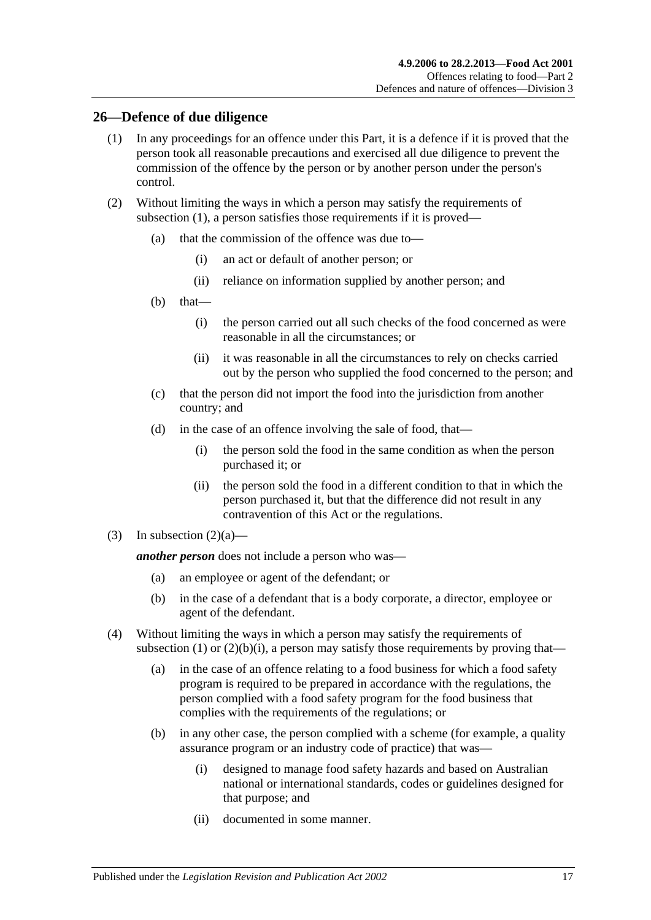#### <span id="page-16-1"></span><span id="page-16-0"></span>**26—Defence of due diligence**

- (1) In any proceedings for an offence under this Part, it is a defence if it is proved that the person took all reasonable precautions and exercised all due diligence to prevent the commission of the offence by the person or by another person under the person's control.
- <span id="page-16-3"></span><span id="page-16-2"></span>(2) Without limiting the ways in which a person may satisfy the requirements of [subsection](#page-16-1) (1), a person satisfies those requirements if it is proved—
	- (a) that the commission of the offence was due to—
		- (i) an act or default of another person; or
		- (ii) reliance on information supplied by another person; and
	- (b) that—
		- (i) the person carried out all such checks of the food concerned as were reasonable in all the circumstances; or
		- (ii) it was reasonable in all the circumstances to rely on checks carried out by the person who supplied the food concerned to the person; and
	- (c) that the person did not import the food into the jurisdiction from another country; and
	- (d) in the case of an offence involving the sale of food, that—
		- (i) the person sold the food in the same condition as when the person purchased it; or
		- (ii) the person sold the food in a different condition to that in which the person purchased it, but that the difference did not result in any contravention of this Act or the regulations.
- (3) In [subsection](#page-16-2)  $(2)(a)$ —

*another person* does not include a person who was—

- (a) an employee or agent of the defendant; or
- (b) in the case of a defendant that is a body corporate, a director, employee or agent of the defendant.
- (4) Without limiting the ways in which a person may satisfy the requirements of [subsection](#page-16-1) (1) or  $(2)(b)(i)$ , a person may satisfy those requirements by proving that—
	- (a) in the case of an offence relating to a food business for which a food safety program is required to be prepared in accordance with the regulations, the person complied with a food safety program for the food business that complies with the requirements of the regulations; or
	- (b) in any other case, the person complied with a scheme (for example, a quality assurance program or an industry code of practice) that was—
		- (i) designed to manage food safety hazards and based on Australian national or international standards, codes or guidelines designed for that purpose; and
		- (ii) documented in some manner.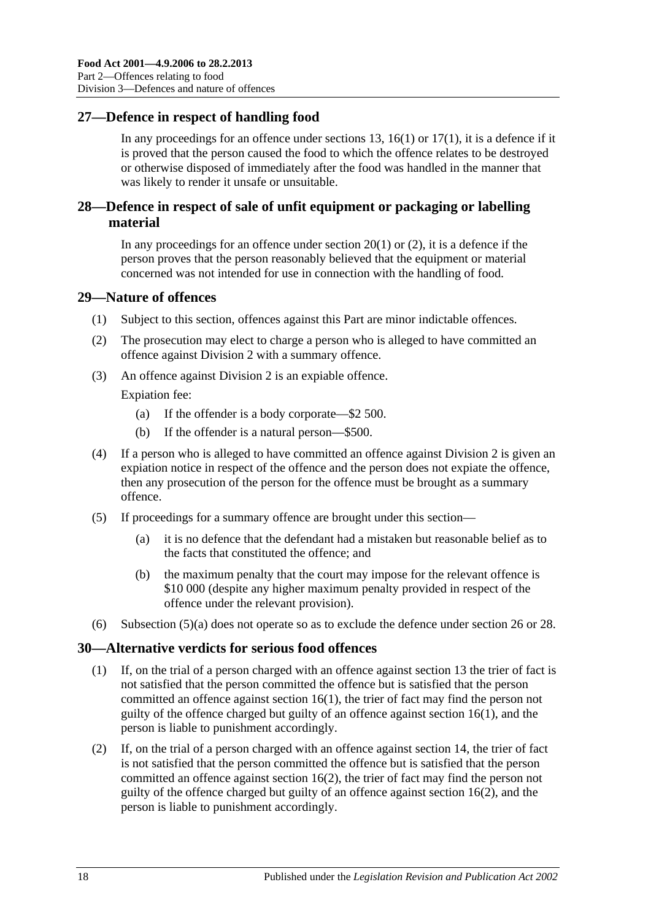## <span id="page-17-0"></span>**27—Defence in respect of handling food**

In any proceedings for an offence under [sections](#page-10-5) 13, [16\(1\)](#page-12-4) or  $17(1)$ , it is a defence if it is proved that the person caused the food to which the offence relates to be destroyed or otherwise disposed of immediately after the food was handled in the manner that was likely to render it unsafe or unsuitable.

## <span id="page-17-1"></span>**28—Defence in respect of sale of unfit equipment or packaging or labelling material**

In any proceedings for an offence under [section](#page-13-4)  $20(1)$  or  $(2)$ , it is a defence if the person proves that the person reasonably believed that the equipment or material concerned was not intended for use in connection with the handling of food.

## <span id="page-17-2"></span>**29—Nature of offences**

- (1) Subject to this section, offences against this Part are minor indictable offences.
- (2) The prosecution may elect to charge a person who is alleged to have committed an offence against [Division 2](#page-12-0) with a summary offence.
- (3) An offence against [Division 2](#page-12-0) is an expiable offence.

Expiation fee:

- (a) If the offender is a body corporate—\$2 500.
- (b) If the offender is a natural person—\$500.
- (4) If a person who is alleged to have committed an offence against [Division 2](#page-12-0) is given an expiation notice in respect of the offence and the person does not expiate the offence, then any prosecution of the person for the offence must be brought as a summary offence.
- <span id="page-17-4"></span>(5) If proceedings for a summary offence are brought under this section—
	- (a) it is no defence that the defendant had a mistaken but reasonable belief as to the facts that constituted the offence; and
	- (b) the maximum penalty that the court may impose for the relevant offence is \$10 000 (despite any higher maximum penalty provided in respect of the offence under the relevant provision).
- (6) [Subsection](#page-17-4) (5)(a) does not operate so as to exclude the defence under [section](#page-16-0) 26 or [28.](#page-17-1)

#### <span id="page-17-3"></span>**30—Alternative verdicts for serious food offences**

- (1) If, on the trial of a person charged with an offence against [section](#page-10-5) 13 the trier of fact is not satisfied that the person committed the offence but is satisfied that the person committed an offence against [section](#page-12-4) 16(1), the trier of fact may find the person not guilty of the offence charged but guilty of an offence against [section](#page-12-4) 16(1), and the person is liable to punishment accordingly.
- (2) If, on the trial of a person charged with an offence against [section](#page-11-0) 14, the trier of fact is not satisfied that the person committed the offence but is satisfied that the person committed an offence against [section](#page-12-7) 16(2), the trier of fact may find the person not guilty of the offence charged but guilty of an offence against [section](#page-12-7) 16(2), and the person is liable to punishment accordingly.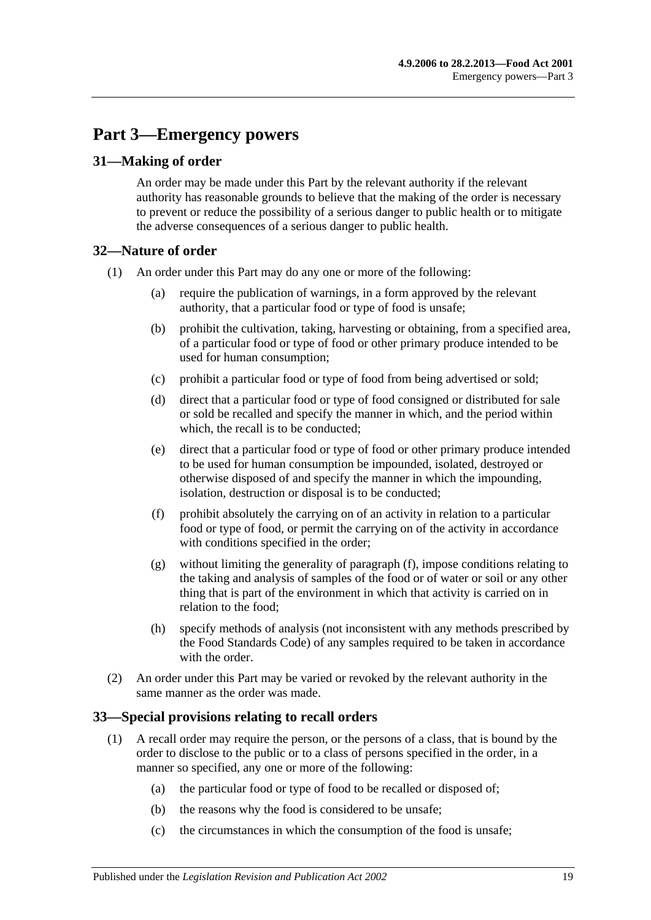# <span id="page-18-0"></span>**Part 3—Emergency powers**

## <span id="page-18-1"></span>**31—Making of order**

An order may be made under this Part by the relevant authority if the relevant authority has reasonable grounds to believe that the making of the order is necessary to prevent or reduce the possibility of a serious danger to public health or to mitigate the adverse consequences of a serious danger to public health.

## <span id="page-18-2"></span>**32—Nature of order**

- (1) An order under this Part may do any one or more of the following:
	- (a) require the publication of warnings, in a form approved by the relevant authority, that a particular food or type of food is unsafe;
	- (b) prohibit the cultivation, taking, harvesting or obtaining, from a specified area, of a particular food or type of food or other primary produce intended to be used for human consumption;
	- (c) prohibit a particular food or type of food from being advertised or sold;
	- (d) direct that a particular food or type of food consigned or distributed for sale or sold be recalled and specify the manner in which, and the period within which, the recall is to be conducted;
	- (e) direct that a particular food or type of food or other primary produce intended to be used for human consumption be impounded, isolated, destroyed or otherwise disposed of and specify the manner in which the impounding, isolation, destruction or disposal is to be conducted;
	- (f) prohibit absolutely the carrying on of an activity in relation to a particular food or type of food, or permit the carrying on of the activity in accordance with conditions specified in the order;
	- (g) without limiting the generality of [paragraph](#page-18-4) (f), impose conditions relating to the taking and analysis of samples of the food or of water or soil or any other thing that is part of the environment in which that activity is carried on in relation to the food;
	- (h) specify methods of analysis (not inconsistent with any methods prescribed by the Food Standards Code) of any samples required to be taken in accordance with the order
- <span id="page-18-4"></span>(2) An order under this Part may be varied or revoked by the relevant authority in the same manner as the order was made.

## <span id="page-18-3"></span>**33—Special provisions relating to recall orders**

- (1) A recall order may require the person, or the persons of a class, that is bound by the order to disclose to the public or to a class of persons specified in the order, in a manner so specified, any one or more of the following:
	- (a) the particular food or type of food to be recalled or disposed of;
	- (b) the reasons why the food is considered to be unsafe;
	- (c) the circumstances in which the consumption of the food is unsafe;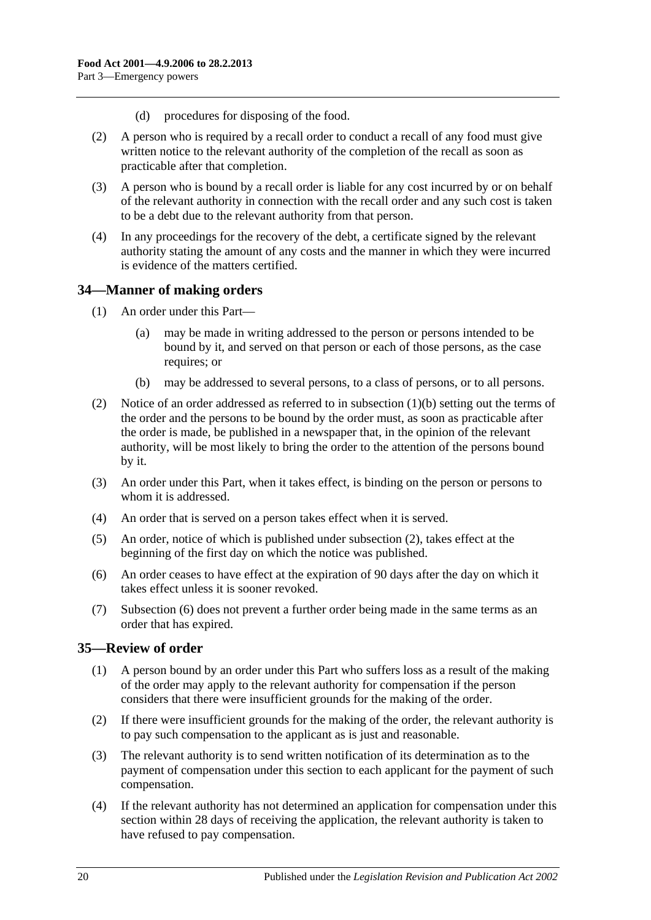- (d) procedures for disposing of the food.
- (2) A person who is required by a recall order to conduct a recall of any food must give written notice to the relevant authority of the completion of the recall as soon as practicable after that completion.
- (3) A person who is bound by a recall order is liable for any cost incurred by or on behalf of the relevant authority in connection with the recall order and any such cost is taken to be a debt due to the relevant authority from that person.
- (4) In any proceedings for the recovery of the debt, a certificate signed by the relevant authority stating the amount of any costs and the manner in which they were incurred is evidence of the matters certified.

## <span id="page-19-0"></span>**34—Manner of making orders**

- (1) An order under this Part—
	- (a) may be made in writing addressed to the person or persons intended to be bound by it, and served on that person or each of those persons, as the case requires; or
	- (b) may be addressed to several persons, to a class of persons, or to all persons.
- <span id="page-19-3"></span><span id="page-19-2"></span>(2) Notice of an order addressed as referred to in [subsection](#page-19-2) (1)(b) setting out the terms of the order and the persons to be bound by the order must, as soon as practicable after the order is made, be published in a newspaper that, in the opinion of the relevant authority, will be most likely to bring the order to the attention of the persons bound by it.
- (3) An order under this Part, when it takes effect, is binding on the person or persons to whom it is addressed.
- (4) An order that is served on a person takes effect when it is served.
- (5) An order, notice of which is published under [subsection](#page-19-3) (2), takes effect at the beginning of the first day on which the notice was published.
- <span id="page-19-4"></span>(6) An order ceases to have effect at the expiration of 90 days after the day on which it takes effect unless it is sooner revoked.
- (7) [Subsection](#page-19-4) (6) does not prevent a further order being made in the same terms as an order that has expired.

#### <span id="page-19-1"></span>**35—Review of order**

- (1) A person bound by an order under this Part who suffers loss as a result of the making of the order may apply to the relevant authority for compensation if the person considers that there were insufficient grounds for the making of the order.
- (2) If there were insufficient grounds for the making of the order, the relevant authority is to pay such compensation to the applicant as is just and reasonable.
- (3) The relevant authority is to send written notification of its determination as to the payment of compensation under this section to each applicant for the payment of such compensation.
- <span id="page-19-5"></span>(4) If the relevant authority has not determined an application for compensation under this section within 28 days of receiving the application, the relevant authority is taken to have refused to pay compensation.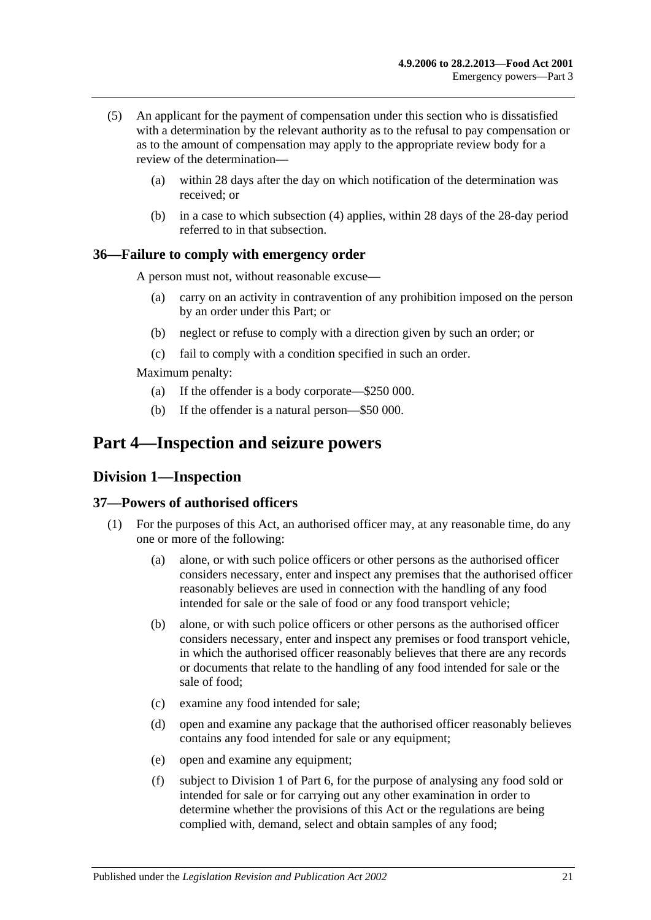- (5) An applicant for the payment of compensation under this section who is dissatisfied with a determination by the relevant authority as to the refusal to pay compensation or as to the amount of compensation may apply to the appropriate review body for a review of the determination—
	- (a) within 28 days after the day on which notification of the determination was received; or
	- (b) in a case to which [subsection](#page-19-5) (4) applies, within 28 days of the 28-day period referred to in that subsection.

#### <span id="page-20-0"></span>**36—Failure to comply with emergency order**

A person must not, without reasonable excuse—

- (a) carry on an activity in contravention of any prohibition imposed on the person by an order under this Part; or
- (b) neglect or refuse to comply with a direction given by such an order; or
- (c) fail to comply with a condition specified in such an order.

Maximum penalty:

- (a) If the offender is a body corporate—\$250 000.
- (b) If the offender is a natural person—\$50 000.

# <span id="page-20-2"></span><span id="page-20-1"></span>**Part 4—Inspection and seizure powers**

## **Division 1—Inspection**

## <span id="page-20-5"></span><span id="page-20-3"></span>**37—Powers of authorised officers**

- <span id="page-20-4"></span>(1) For the purposes of this Act, an authorised officer may, at any reasonable time, do any one or more of the following:
	- (a) alone, or with such police officers or other persons as the authorised officer considers necessary, enter and inspect any premises that the authorised officer reasonably believes are used in connection with the handling of any food intended for sale or the sale of food or any food transport vehicle;
	- (b) alone, or with such police officers or other persons as the authorised officer considers necessary, enter and inspect any premises or food transport vehicle, in which the authorised officer reasonably believes that there are any records or documents that relate to the handling of any food intended for sale or the sale of food;
	- (c) examine any food intended for sale;
	- (d) open and examine any package that the authorised officer reasonably believes contains any food intended for sale or any equipment;
	- (e) open and examine any equipment;
	- (f) subject to [Division 1](#page-29-1) of [Part 6,](#page-29-0) for the purpose of analysing any food sold or intended for sale or for carrying out any other examination in order to determine whether the provisions of this Act or the regulations are being complied with, demand, select and obtain samples of any food;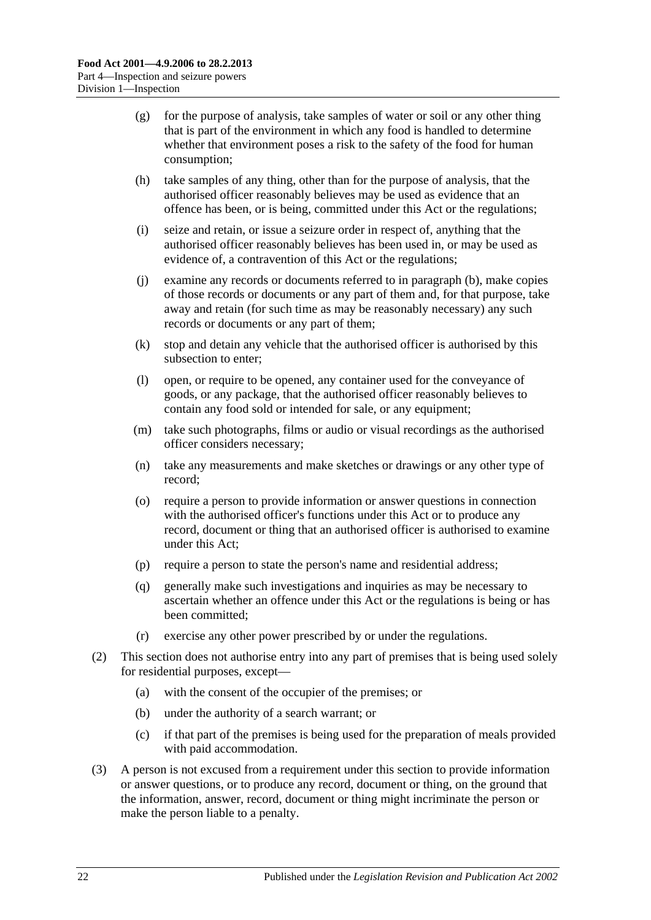- (g) for the purpose of analysis, take samples of water or soil or any other thing that is part of the environment in which any food is handled to determine whether that environment poses a risk to the safety of the food for human consumption;
- (h) take samples of any thing, other than for the purpose of analysis, that the authorised officer reasonably believes may be used as evidence that an offence has been, or is being, committed under this Act or the regulations;
- (i) seize and retain, or issue a seizure order in respect of, anything that the authorised officer reasonably believes has been used in, or may be used as evidence of, a contravention of this Act or the regulations;
- (j) examine any records or documents referred to in [paragraph](#page-20-4) (b), make copies of those records or documents or any part of them and, for that purpose, take away and retain (for such time as may be reasonably necessary) any such records or documents or any part of them;
- (k) stop and detain any vehicle that the authorised officer is authorised by this subsection to enter;
- (l) open, or require to be opened, any container used for the conveyance of goods, or any package, that the authorised officer reasonably believes to contain any food sold or intended for sale, or any equipment;
- (m) take such photographs, films or audio or visual recordings as the authorised officer considers necessary;
- (n) take any measurements and make sketches or drawings or any other type of record;
- (o) require a person to provide information or answer questions in connection with the authorised officer's functions under this Act or to produce any record, document or thing that an authorised officer is authorised to examine under this Act;
- (p) require a person to state the person's name and residential address;
- (q) generally make such investigations and inquiries as may be necessary to ascertain whether an offence under this Act or the regulations is being or has been committed;
- (r) exercise any other power prescribed by or under the regulations.
- (2) This section does not authorise entry into any part of premises that is being used solely for residential purposes, except—
	- (a) with the consent of the occupier of the premises; or
	- (b) under the authority of a search warrant; or
	- (c) if that part of the premises is being used for the preparation of meals provided with paid accommodation.
- (3) A person is not excused from a requirement under this section to provide information or answer questions, or to produce any record, document or thing, on the ground that the information, answer, record, document or thing might incriminate the person or make the person liable to a penalty.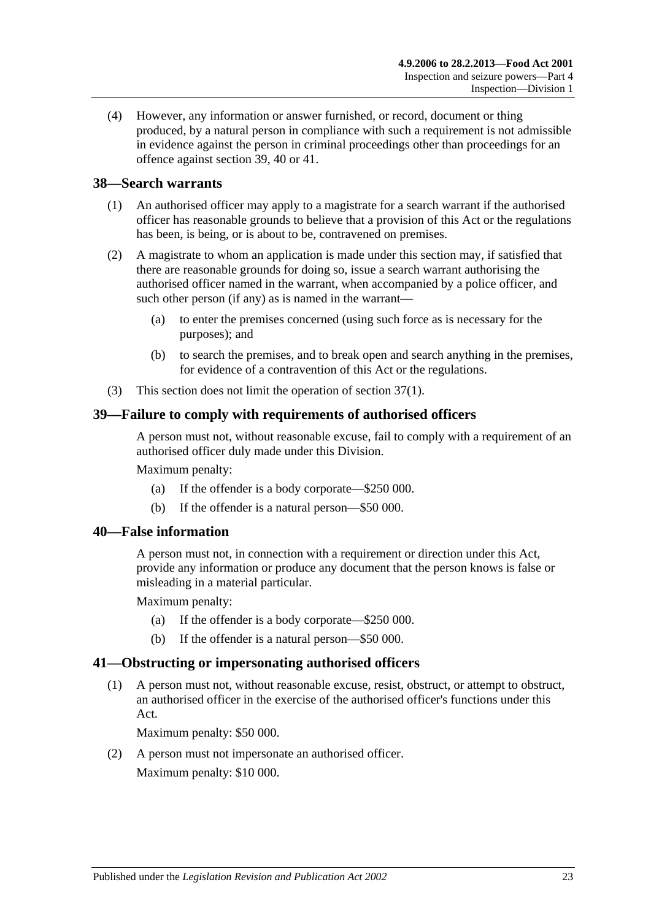(4) However, any information or answer furnished, or record, document or thing produced, by a natural person in compliance with such a requirement is not admissible in evidence against the person in criminal proceedings other than proceedings for an offence against [section](#page-22-1) 39, [40](#page-22-2) or [41.](#page-22-3)

## <span id="page-22-0"></span>**38—Search warrants**

- (1) An authorised officer may apply to a magistrate for a search warrant if the authorised officer has reasonable grounds to believe that a provision of this Act or the regulations has been, is being, or is about to be, contravened on premises.
- (2) A magistrate to whom an application is made under this section may, if satisfied that there are reasonable grounds for doing so, issue a search warrant authorising the authorised officer named in the warrant, when accompanied by a police officer, and such other person (if any) as is named in the warrant—
	- (a) to enter the premises concerned (using such force as is necessary for the purposes); and
	- (b) to search the premises, and to break open and search anything in the premises, for evidence of a contravention of this Act or the regulations.
- (3) This section does not limit the operation of [section](#page-20-5) 37(1).

#### <span id="page-22-1"></span>**39—Failure to comply with requirements of authorised officers**

A person must not, without reasonable excuse, fail to comply with a requirement of an authorised officer duly made under this Division.

Maximum penalty:

- (a) If the offender is a body corporate—\$250 000.
- (b) If the offender is a natural person—\$50 000.

#### <span id="page-22-2"></span>**40—False information**

A person must not, in connection with a requirement or direction under this Act, provide any information or produce any document that the person knows is false or misleading in a material particular.

Maximum penalty:

- (a) If the offender is a body corporate—\$250 000.
- (b) If the offender is a natural person—\$50 000.

#### <span id="page-22-3"></span>**41—Obstructing or impersonating authorised officers**

(1) A person must not, without reasonable excuse, resist, obstruct, or attempt to obstruct, an authorised officer in the exercise of the authorised officer's functions under this Act.

Maximum penalty: \$50 000.

(2) A person must not impersonate an authorised officer. Maximum penalty: \$10 000.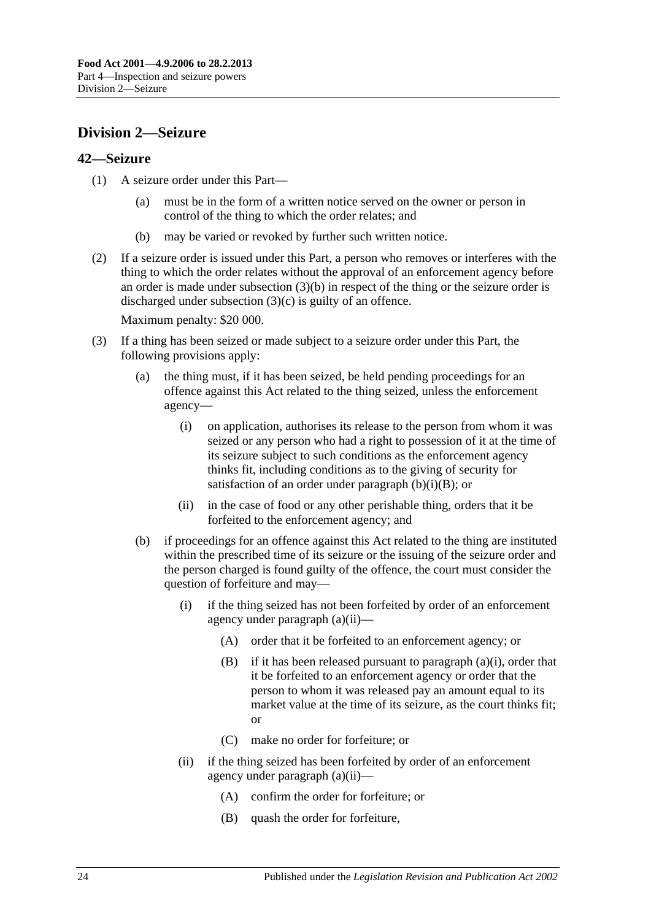# <span id="page-23-0"></span>**Division 2—Seizure**

## <span id="page-23-1"></span>**42—Seizure**

- (1) A seizure order under this Part—
	- (a) must be in the form of a written notice served on the owner or person in control of the thing to which the order relates; and
	- (b) may be varied or revoked by further such written notice.
- (2) If a seizure order is issued under this Part, a person who removes or interferes with the thing to which the order relates without the approval of an enforcement agency before an order is made under [subsection](#page-23-2) (3)(b) in respect of the thing or the seizure order is discharged under [subsection](#page-24-0) (3)(c) is guilty of an offence.

Maximum penalty: \$20 000.

- <span id="page-23-7"></span><span id="page-23-6"></span><span id="page-23-5"></span><span id="page-23-4"></span><span id="page-23-3"></span><span id="page-23-2"></span>(3) If a thing has been seized or made subject to a seizure order under this Part, the following provisions apply:
	- (a) the thing must, if it has been seized, be held pending proceedings for an offence against this Act related to the thing seized, unless the enforcement agency—
		- (i) on application, authorises its release to the person from whom it was seized or any person who had a right to possession of it at the time of its seizure subject to such conditions as the enforcement agency thinks fit, including conditions as to the giving of security for satisfaction of an order under [paragraph](#page-23-3)  $(b)(i)(B)$ ; or
		- (ii) in the case of food or any other perishable thing, orders that it be forfeited to the enforcement agency; and
	- (b) if proceedings for an offence against this Act related to the thing are instituted within the prescribed time of its seizure or the issuing of the seizure order and the person charged is found guilty of the offence, the court must consider the question of forfeiture and may—
		- (i) if the thing seized has not been forfeited by order of an enforcement agency under [paragraph](#page-23-4) (a)(ii)—
			- (A) order that it be forfeited to an enforcement agency; or
			- (B) if it has been released pursuant to [paragraph](#page-23-5) (a)(i), order that it be forfeited to an enforcement agency or order that the person to whom it was released pay an amount equal to its market value at the time of its seizure, as the court thinks fit; or
			- (C) make no order for forfeiture; or
		- (ii) if the thing seized has been forfeited by order of an enforcement agency under [paragraph](#page-23-4) (a)(ii)—
			- (A) confirm the order for forfeiture; or
			- (B) quash the order for forfeiture,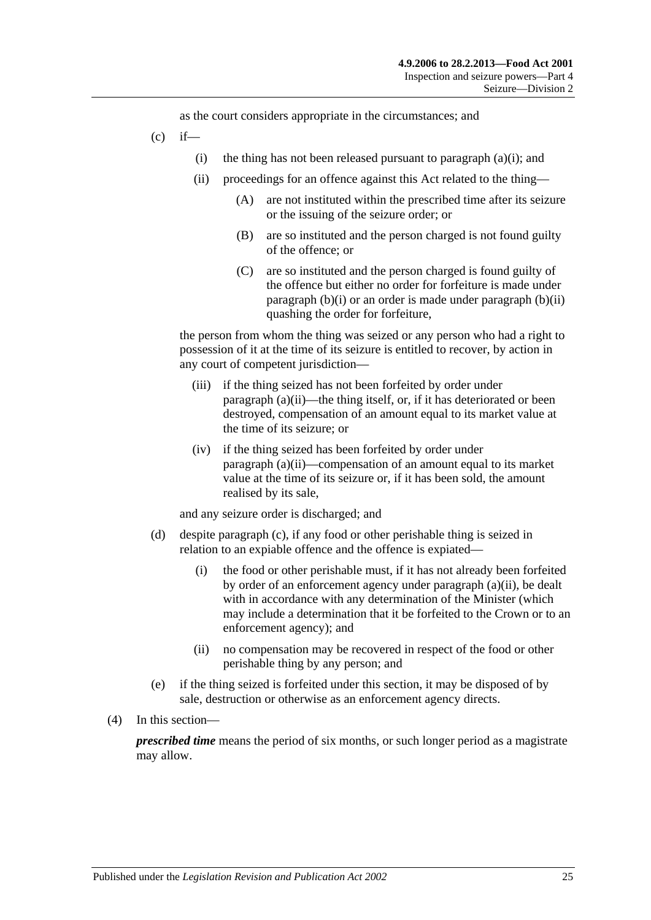as the court considers appropriate in the circumstances; and

- <span id="page-24-0"></span> $(c)$  if
	- (i) the thing has not been released pursuant to [paragraph](#page-23-5)  $(a)(i)$ ; and
	- (ii) proceedings for an offence against this Act related to the thing—
		- (A) are not instituted within the prescribed time after its seizure or the issuing of the seizure order; or
		- (B) are so instituted and the person charged is not found guilty of the offence; or
		- (C) are so instituted and the person charged is found guilty of the offence but either no order for forfeiture is made under [paragraph](#page-23-6)  $(b)(i)$  or an order is made under [paragraph](#page-23-7)  $(b)(ii)$ quashing the order for forfeiture,

the person from whom the thing was seized or any person who had a right to possession of it at the time of its seizure is entitled to recover, by action in any court of competent jurisdiction—

- (iii) if the thing seized has not been forfeited by order under [paragraph](#page-23-4) (a)(ii)—the thing itself, or, if it has deteriorated or been destroyed, compensation of an amount equal to its market value at the time of its seizure; or
- (iv) if the thing seized has been forfeited by order under [paragraph](#page-23-4) (a)(ii)—compensation of an amount equal to its market value at the time of its seizure or, if it has been sold, the amount realised by its sale,

and any seizure order is discharged; and

- (d) despite [paragraph](#page-24-0) (c), if any food or other perishable thing is seized in relation to an expiable offence and the offence is expiated—
	- (i) the food or other perishable must, if it has not already been forfeited by order of an enforcement agency under [paragraph](#page-23-4) (a)(ii), be dealt with in accordance with any determination of the Minister (which may include a determination that it be forfeited to the Crown or to an enforcement agency); and
	- (ii) no compensation may be recovered in respect of the food or other perishable thing by any person; and
- (e) if the thing seized is forfeited under this section, it may be disposed of by sale, destruction or otherwise as an enforcement agency directs.
- (4) In this section—

*prescribed time* means the period of six months, or such longer period as a magistrate may allow.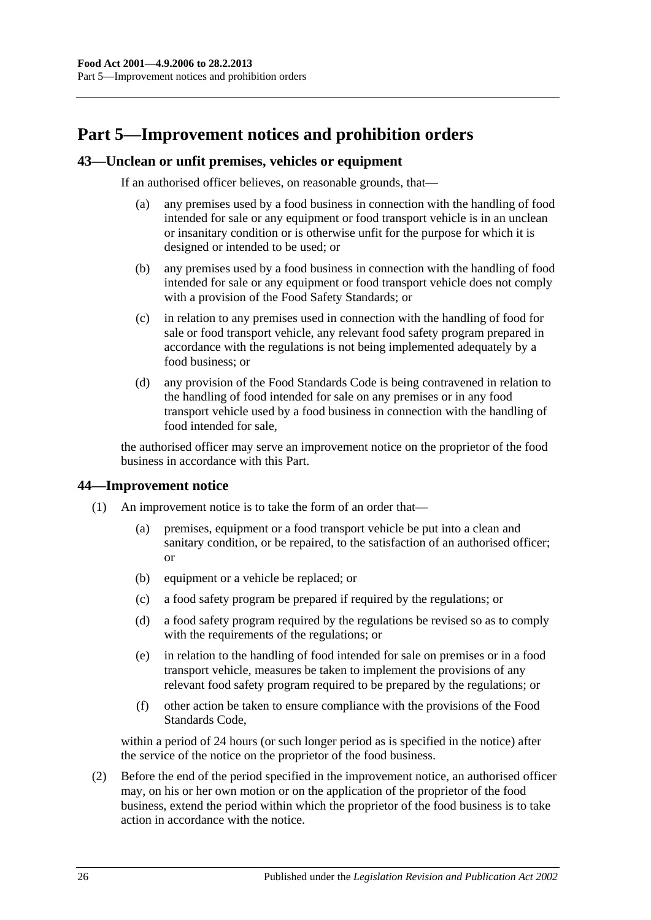# <span id="page-25-0"></span>**Part 5—Improvement notices and prohibition orders**

#### <span id="page-25-1"></span>**43—Unclean or unfit premises, vehicles or equipment**

If an authorised officer believes, on reasonable grounds, that—

- (a) any premises used by a food business in connection with the handling of food intended for sale or any equipment or food transport vehicle is in an unclean or insanitary condition or is otherwise unfit for the purpose for which it is designed or intended to be used; or
- (b) any premises used by a food business in connection with the handling of food intended for sale or any equipment or food transport vehicle does not comply with a provision of the Food Safety Standards; or
- (c) in relation to any premises used in connection with the handling of food for sale or food transport vehicle, any relevant food safety program prepared in accordance with the regulations is not being implemented adequately by a food business; or
- (d) any provision of the Food Standards Code is being contravened in relation to the handling of food intended for sale on any premises or in any food transport vehicle used by a food business in connection with the handling of food intended for sale,

the authorised officer may serve an improvement notice on the proprietor of the food business in accordance with this Part.

#### <span id="page-25-2"></span>**44—Improvement notice**

- (1) An improvement notice is to take the form of an order that—
	- (a) premises, equipment or a food transport vehicle be put into a clean and sanitary condition, or be repaired, to the satisfaction of an authorised officer; or
	- (b) equipment or a vehicle be replaced; or
	- (c) a food safety program be prepared if required by the regulations; or
	- (d) a food safety program required by the regulations be revised so as to comply with the requirements of the regulations; or
	- (e) in relation to the handling of food intended for sale on premises or in a food transport vehicle, measures be taken to implement the provisions of any relevant food safety program required to be prepared by the regulations; or
	- (f) other action be taken to ensure compliance with the provisions of the Food Standards Code,

within a period of 24 hours (or such longer period as is specified in the notice) after the service of the notice on the proprietor of the food business.

(2) Before the end of the period specified in the improvement notice, an authorised officer may, on his or her own motion or on the application of the proprietor of the food business, extend the period within which the proprietor of the food business is to take action in accordance with the notice.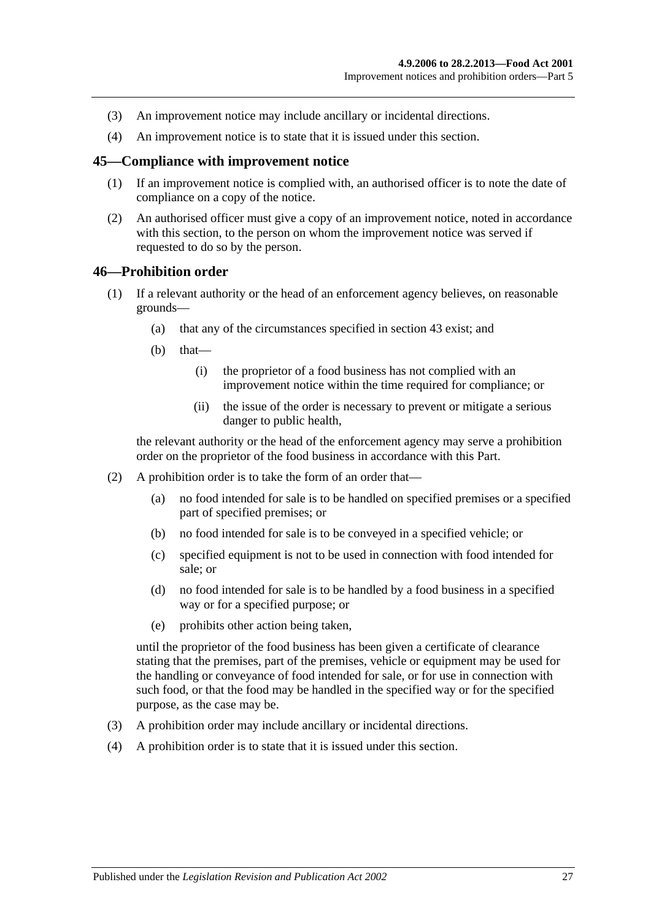- (3) An improvement notice may include ancillary or incidental directions.
- (4) An improvement notice is to state that it is issued under this section.

#### <span id="page-26-0"></span>**45—Compliance with improvement notice**

- (1) If an improvement notice is complied with, an authorised officer is to note the date of compliance on a copy of the notice.
- (2) An authorised officer must give a copy of an improvement notice, noted in accordance with this section, to the person on whom the improvement notice was served if requested to do so by the person.

#### <span id="page-26-1"></span>**46—Prohibition order**

- (1) If a relevant authority or the head of an enforcement agency believes, on reasonable grounds—
	- (a) that any of the circumstances specified in [section](#page-25-1) 43 exist; and
	- $(b)$  that—
		- (i) the proprietor of a food business has not complied with an improvement notice within the time required for compliance; or
		- (ii) the issue of the order is necessary to prevent or mitigate a serious danger to public health,

the relevant authority or the head of the enforcement agency may serve a prohibition order on the proprietor of the food business in accordance with this Part.

- (2) A prohibition order is to take the form of an order that—
	- (a) no food intended for sale is to be handled on specified premises or a specified part of specified premises; or
	- (b) no food intended for sale is to be conveyed in a specified vehicle; or
	- (c) specified equipment is not to be used in connection with food intended for sale; or
	- (d) no food intended for sale is to be handled by a food business in a specified way or for a specified purpose; or
	- (e) prohibits other action being taken,

until the proprietor of the food business has been given a certificate of clearance stating that the premises, part of the premises, vehicle or equipment may be used for the handling or conveyance of food intended for sale, or for use in connection with such food, or that the food may be handled in the specified way or for the specified purpose, as the case may be.

- (3) A prohibition order may include ancillary or incidental directions.
- (4) A prohibition order is to state that it is issued under this section.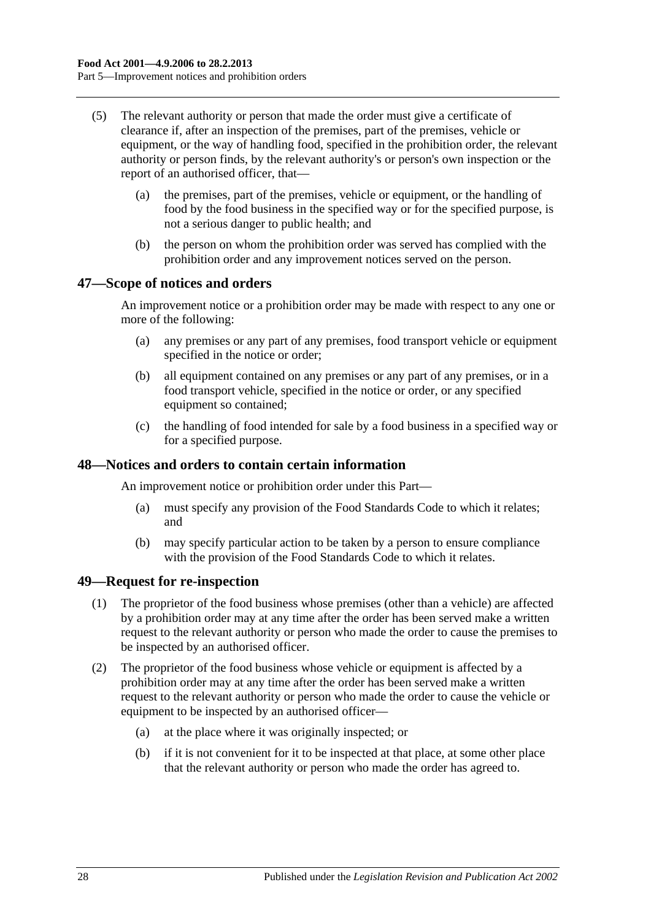- (5) The relevant authority or person that made the order must give a certificate of clearance if, after an inspection of the premises, part of the premises, vehicle or equipment, or the way of handling food, specified in the prohibition order, the relevant authority or person finds, by the relevant authority's or person's own inspection or the report of an authorised officer, that—
	- (a) the premises, part of the premises, vehicle or equipment, or the handling of food by the food business in the specified way or for the specified purpose, is not a serious danger to public health; and
	- (b) the person on whom the prohibition order was served has complied with the prohibition order and any improvement notices served on the person.

#### <span id="page-27-0"></span>**47—Scope of notices and orders**

An improvement notice or a prohibition order may be made with respect to any one or more of the following:

- (a) any premises or any part of any premises, food transport vehicle or equipment specified in the notice or order;
- (b) all equipment contained on any premises or any part of any premises, or in a food transport vehicle, specified in the notice or order, or any specified equipment so contained;
- (c) the handling of food intended for sale by a food business in a specified way or for a specified purpose.

#### <span id="page-27-1"></span>**48—Notices and orders to contain certain information**

An improvement notice or prohibition order under this Part—

- (a) must specify any provision of the Food Standards Code to which it relates; and
- (b) may specify particular action to be taken by a person to ensure compliance with the provision of the Food Standards Code to which it relates.

#### <span id="page-27-2"></span>**49—Request for re-inspection**

- (1) The proprietor of the food business whose premises (other than a vehicle) are affected by a prohibition order may at any time after the order has been served make a written request to the relevant authority or person who made the order to cause the premises to be inspected by an authorised officer.
- (2) The proprietor of the food business whose vehicle or equipment is affected by a prohibition order may at any time after the order has been served make a written request to the relevant authority or person who made the order to cause the vehicle or equipment to be inspected by an authorised officer—
	- (a) at the place where it was originally inspected; or
	- (b) if it is not convenient for it to be inspected at that place, at some other place that the relevant authority or person who made the order has agreed to.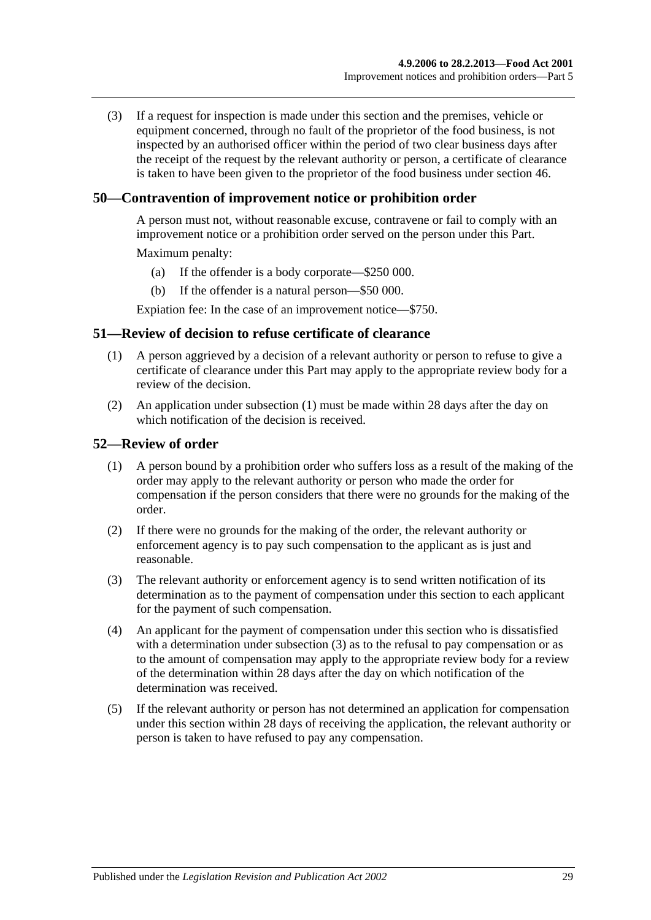(3) If a request for inspection is made under this section and the premises, vehicle or equipment concerned, through no fault of the proprietor of the food business, is not inspected by an authorised officer within the period of two clear business days after the receipt of the request by the relevant authority or person, a certificate of clearance is taken to have been given to the proprietor of the food business under [section](#page-26-1) 46.

## <span id="page-28-0"></span>**50—Contravention of improvement notice or prohibition order**

A person must not, without reasonable excuse, contravene or fail to comply with an improvement notice or a prohibition order served on the person under this Part.

Maximum penalty:

- (a) If the offender is a body corporate—\$250 000.
- (b) If the offender is a natural person—\$50 000.

Expiation fee: In the case of an improvement notice—\$750.

#### <span id="page-28-3"></span><span id="page-28-1"></span>**51—Review of decision to refuse certificate of clearance**

- (1) A person aggrieved by a decision of a relevant authority or person to refuse to give a certificate of clearance under this Part may apply to the appropriate review body for a review of the decision.
- (2) An application under [subsection](#page-28-3) (1) must be made within 28 days after the day on which notification of the decision is received.

#### <span id="page-28-2"></span>**52—Review of order**

- (1) A person bound by a prohibition order who suffers loss as a result of the making of the order may apply to the relevant authority or person who made the order for compensation if the person considers that there were no grounds for the making of the order.
- (2) If there were no grounds for the making of the order, the relevant authority or enforcement agency is to pay such compensation to the applicant as is just and reasonable.
- <span id="page-28-4"></span>(3) The relevant authority or enforcement agency is to send written notification of its determination as to the payment of compensation under this section to each applicant for the payment of such compensation.
- (4) An applicant for the payment of compensation under this section who is dissatisfied with a determination under [subsection](#page-28-4) (3) as to the refusal to pay compensation or as to the amount of compensation may apply to the appropriate review body for a review of the determination within 28 days after the day on which notification of the determination was received.
- (5) If the relevant authority or person has not determined an application for compensation under this section within 28 days of receiving the application, the relevant authority or person is taken to have refused to pay any compensation.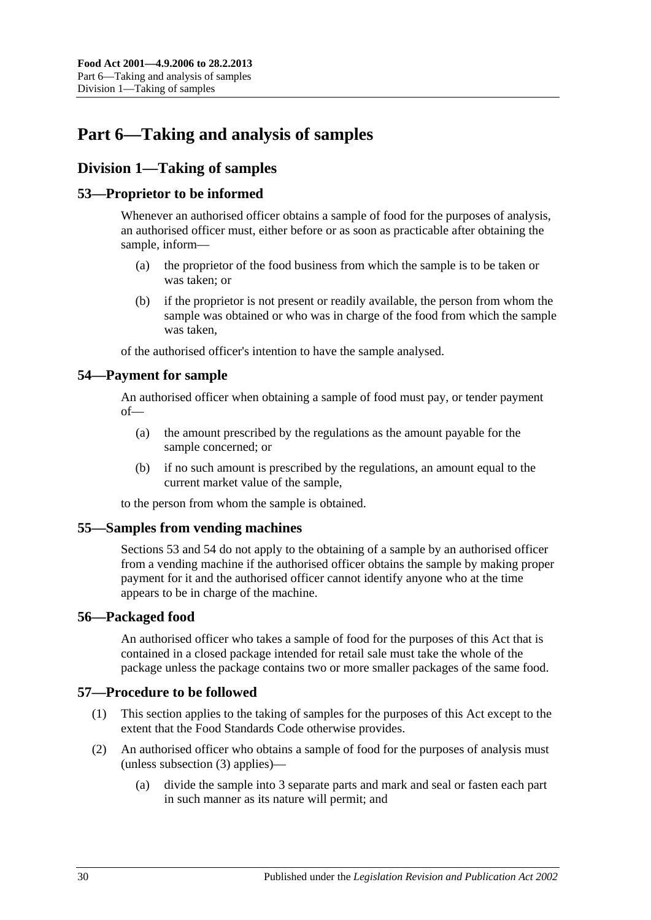# <span id="page-29-0"></span>**Part 6—Taking and analysis of samples**

# <span id="page-29-1"></span>**Division 1—Taking of samples**

## <span id="page-29-2"></span>**53—Proprietor to be informed**

Whenever an authorised officer obtains a sample of food for the purposes of analysis, an authorised officer must, either before or as soon as practicable after obtaining the sample, inform—

- (a) the proprietor of the food business from which the sample is to be taken or was taken; or
- (b) if the proprietor is not present or readily available, the person from whom the sample was obtained or who was in charge of the food from which the sample was taken,

of the authorised officer's intention to have the sample analysed.

## <span id="page-29-3"></span>**54—Payment for sample**

An authorised officer when obtaining a sample of food must pay, or tender payment of—

- (a) the amount prescribed by the regulations as the amount payable for the sample concerned; or
- (b) if no such amount is prescribed by the regulations, an amount equal to the current market value of the sample,

to the person from whom the sample is obtained.

## <span id="page-29-4"></span>**55—Samples from vending machines**

[Sections](#page-29-2) 53 and [54](#page-29-3) do not apply to the obtaining of a sample by an authorised officer from a vending machine if the authorised officer obtains the sample by making proper payment for it and the authorised officer cannot identify anyone who at the time appears to be in charge of the machine.

## <span id="page-29-5"></span>**56—Packaged food**

An authorised officer who takes a sample of food for the purposes of this Act that is contained in a closed package intended for retail sale must take the whole of the package unless the package contains two or more smaller packages of the same food.

## <span id="page-29-6"></span>**57—Procedure to be followed**

- (1) This section applies to the taking of samples for the purposes of this Act except to the extent that the Food Standards Code otherwise provides.
- <span id="page-29-7"></span>(2) An authorised officer who obtains a sample of food for the purposes of analysis must (unless [subsection](#page-30-4) (3) applies)—
	- (a) divide the sample into 3 separate parts and mark and seal or fasten each part in such manner as its nature will permit; and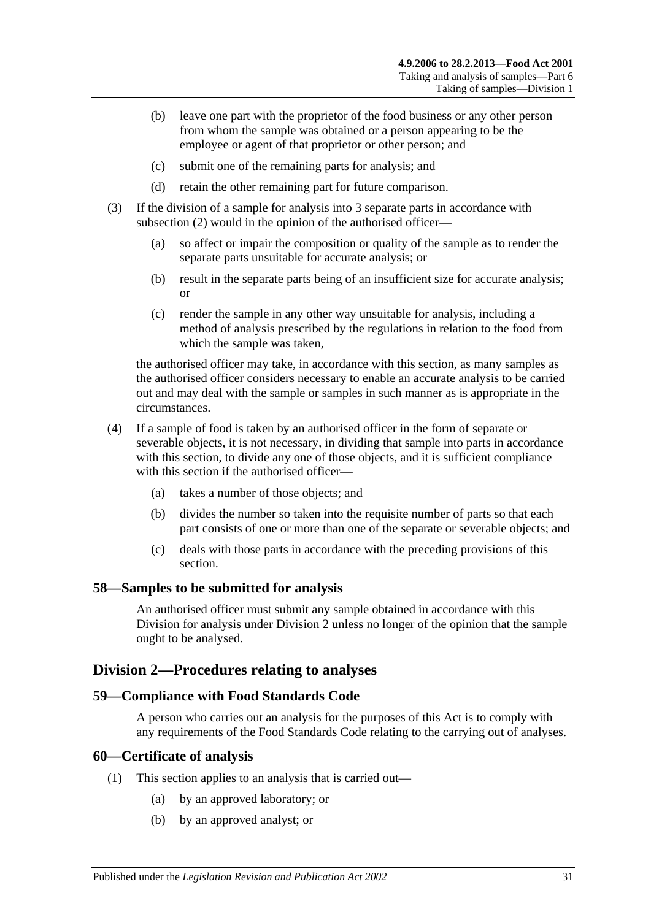- (b) leave one part with the proprietor of the food business or any other person from whom the sample was obtained or a person appearing to be the employee or agent of that proprietor or other person; and
- (c) submit one of the remaining parts for analysis; and
- (d) retain the other remaining part for future comparison.
- <span id="page-30-4"></span>(3) If the division of a sample for analysis into 3 separate parts in accordance with [subsection](#page-29-7) (2) would in the opinion of the authorised officer—
	- (a) so affect or impair the composition or quality of the sample as to render the separate parts unsuitable for accurate analysis; or
	- (b) result in the separate parts being of an insufficient size for accurate analysis; or
	- (c) render the sample in any other way unsuitable for analysis, including a method of analysis prescribed by the regulations in relation to the food from which the sample was taken,

the authorised officer may take, in accordance with this section, as many samples as the authorised officer considers necessary to enable an accurate analysis to be carried out and may deal with the sample or samples in such manner as is appropriate in the circumstances.

- (4) If a sample of food is taken by an authorised officer in the form of separate or severable objects, it is not necessary, in dividing that sample into parts in accordance with this section, to divide any one of those objects, and it is sufficient compliance with this section if the authorised officer—
	- (a) takes a number of those objects; and
	- (b) divides the number so taken into the requisite number of parts so that each part consists of one or more than one of the separate or severable objects; and
	- (c) deals with those parts in accordance with the preceding provisions of this section.

#### <span id="page-30-0"></span>**58—Samples to be submitted for analysis**

An authorised officer must submit any sample obtained in accordance with this Division for analysis under [Division 2](#page-30-1) unless no longer of the opinion that the sample ought to be analysed.

#### <span id="page-30-1"></span>**Division 2—Procedures relating to analyses**

#### <span id="page-30-2"></span>**59—Compliance with Food Standards Code**

A person who carries out an analysis for the purposes of this Act is to comply with any requirements of the Food Standards Code relating to the carrying out of analyses.

#### <span id="page-30-3"></span>**60—Certificate of analysis**

- (1) This section applies to an analysis that is carried out—
	- (a) by an approved laboratory; or
	- (b) by an approved analyst; or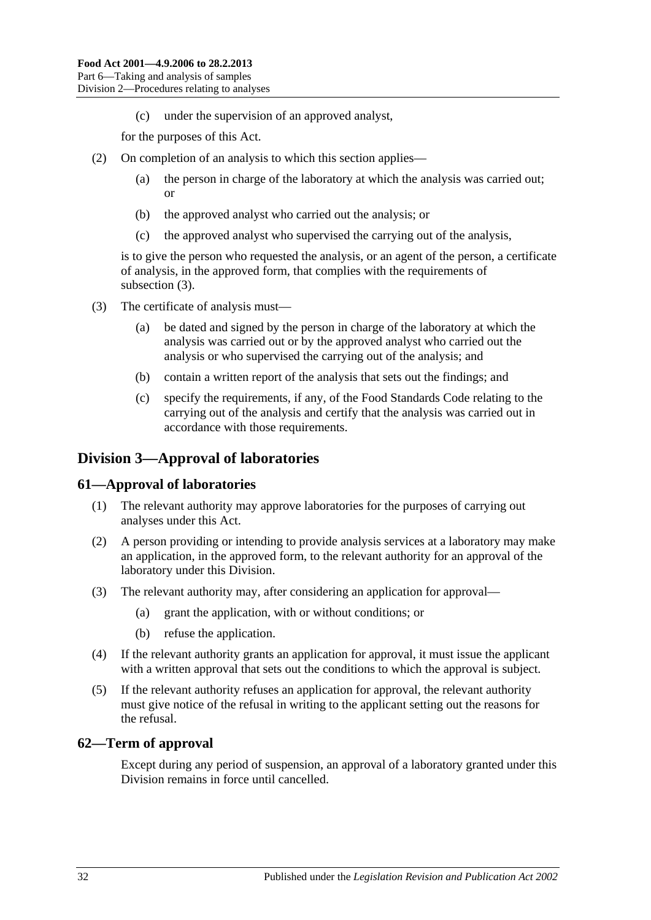(c) under the supervision of an approved analyst,

for the purposes of this Act.

- (2) On completion of an analysis to which this section applies—
	- (a) the person in charge of the laboratory at which the analysis was carried out; or
	- (b) the approved analyst who carried out the analysis; or
	- (c) the approved analyst who supervised the carrying out of the analysis,

is to give the person who requested the analysis, or an agent of the person, a certificate of analysis, in the approved form, that complies with the requirements of [subsection](#page-31-3) (3).

- <span id="page-31-3"></span>(3) The certificate of analysis must—
	- (a) be dated and signed by the person in charge of the laboratory at which the analysis was carried out or by the approved analyst who carried out the analysis or who supervised the carrying out of the analysis; and
	- (b) contain a written report of the analysis that sets out the findings; and
	- (c) specify the requirements, if any, of the Food Standards Code relating to the carrying out of the analysis and certify that the analysis was carried out in accordance with those requirements.

## <span id="page-31-0"></span>**Division 3—Approval of laboratories**

#### <span id="page-31-1"></span>**61—Approval of laboratories**

- (1) The relevant authority may approve laboratories for the purposes of carrying out analyses under this Act.
- (2) A person providing or intending to provide analysis services at a laboratory may make an application, in the approved form, to the relevant authority for an approval of the laboratory under this Division.
- (3) The relevant authority may, after considering an application for approval—
	- (a) grant the application, with or without conditions; or
	- (b) refuse the application.
- (4) If the relevant authority grants an application for approval, it must issue the applicant with a written approval that sets out the conditions to which the approval is subject.
- (5) If the relevant authority refuses an application for approval, the relevant authority must give notice of the refusal in writing to the applicant setting out the reasons for the refusal.

#### <span id="page-31-2"></span>**62—Term of approval**

Except during any period of suspension, an approval of a laboratory granted under this Division remains in force until cancelled.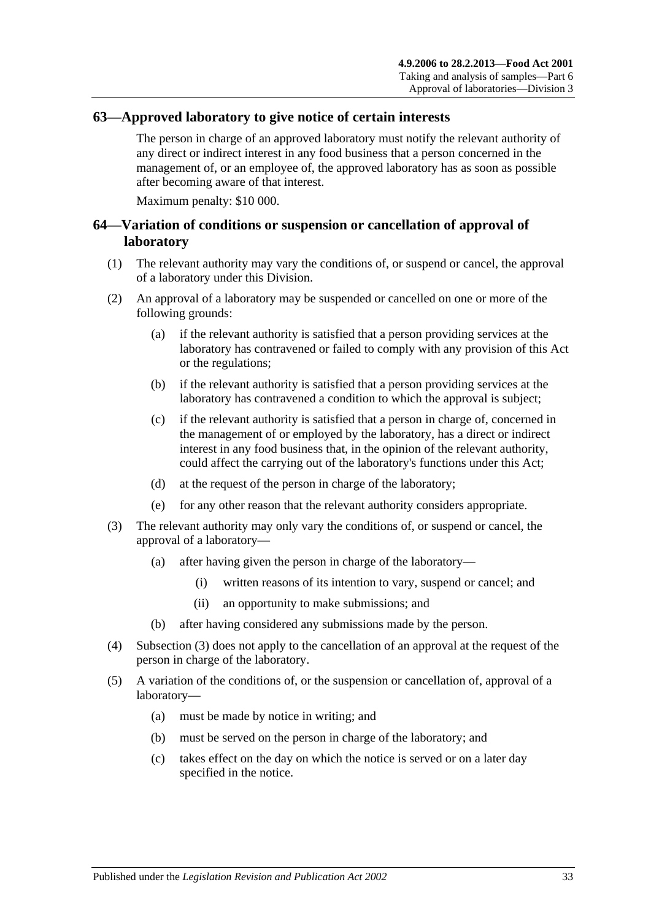#### <span id="page-32-0"></span>**63—Approved laboratory to give notice of certain interests**

The person in charge of an approved laboratory must notify the relevant authority of any direct or indirect interest in any food business that a person concerned in the management of, or an employee of, the approved laboratory has as soon as possible after becoming aware of that interest.

Maximum penalty: \$10 000.

### <span id="page-32-1"></span>**64—Variation of conditions or suspension or cancellation of approval of laboratory**

- (1) The relevant authority may vary the conditions of, or suspend or cancel, the approval of a laboratory under this Division.
- (2) An approval of a laboratory may be suspended or cancelled on one or more of the following grounds:
	- (a) if the relevant authority is satisfied that a person providing services at the laboratory has contravened or failed to comply with any provision of this Act or the regulations;
	- (b) if the relevant authority is satisfied that a person providing services at the laboratory has contravened a condition to which the approval is subject;
	- (c) if the relevant authority is satisfied that a person in charge of, concerned in the management of or employed by the laboratory, has a direct or indirect interest in any food business that, in the opinion of the relevant authority, could affect the carrying out of the laboratory's functions under this Act;
	- (d) at the request of the person in charge of the laboratory;
	- (e) for any other reason that the relevant authority considers appropriate.
- <span id="page-32-2"></span>(3) The relevant authority may only vary the conditions of, or suspend or cancel, the approval of a laboratory—
	- (a) after having given the person in charge of the laboratory—
		- (i) written reasons of its intention to vary, suspend or cancel; and
		- (ii) an opportunity to make submissions; and
	- (b) after having considered any submissions made by the person.
- (4) [Subsection](#page-32-2) (3) does not apply to the cancellation of an approval at the request of the person in charge of the laboratory.
- (5) A variation of the conditions of, or the suspension or cancellation of, approval of a laboratory—
	- (a) must be made by notice in writing; and
	- (b) must be served on the person in charge of the laboratory; and
	- (c) takes effect on the day on which the notice is served or on a later day specified in the notice.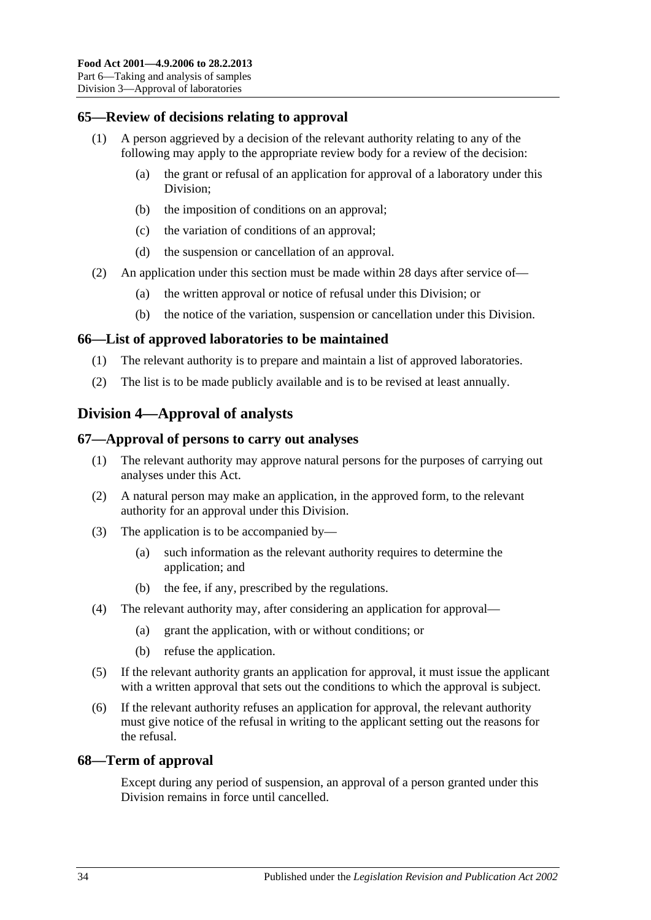## <span id="page-33-0"></span>**65—Review of decisions relating to approval**

- (1) A person aggrieved by a decision of the relevant authority relating to any of the following may apply to the appropriate review body for a review of the decision:
	- (a) the grant or refusal of an application for approval of a laboratory under this Division;
	- (b) the imposition of conditions on an approval;
	- (c) the variation of conditions of an approval;
	- (d) the suspension or cancellation of an approval.
- (2) An application under this section must be made within 28 days after service of—
	- (a) the written approval or notice of refusal under this Division; or
	- (b) the notice of the variation, suspension or cancellation under this Division.

#### <span id="page-33-1"></span>**66—List of approved laboratories to be maintained**

- (1) The relevant authority is to prepare and maintain a list of approved laboratories.
- (2) The list is to be made publicly available and is to be revised at least annually.

## <span id="page-33-2"></span>**Division 4—Approval of analysts**

#### <span id="page-33-3"></span>**67—Approval of persons to carry out analyses**

- (1) The relevant authority may approve natural persons for the purposes of carrying out analyses under this Act.
- (2) A natural person may make an application, in the approved form, to the relevant authority for an approval under this Division.
- (3) The application is to be accompanied by—
	- (a) such information as the relevant authority requires to determine the application; and
	- (b) the fee, if any, prescribed by the regulations.
- (4) The relevant authority may, after considering an application for approval—
	- (a) grant the application, with or without conditions; or
	- (b) refuse the application.
- (5) If the relevant authority grants an application for approval, it must issue the applicant with a written approval that sets out the conditions to which the approval is subject.
- (6) If the relevant authority refuses an application for approval, the relevant authority must give notice of the refusal in writing to the applicant setting out the reasons for the refusal.

#### <span id="page-33-4"></span>**68—Term of approval**

Except during any period of suspension, an approval of a person granted under this Division remains in force until cancelled.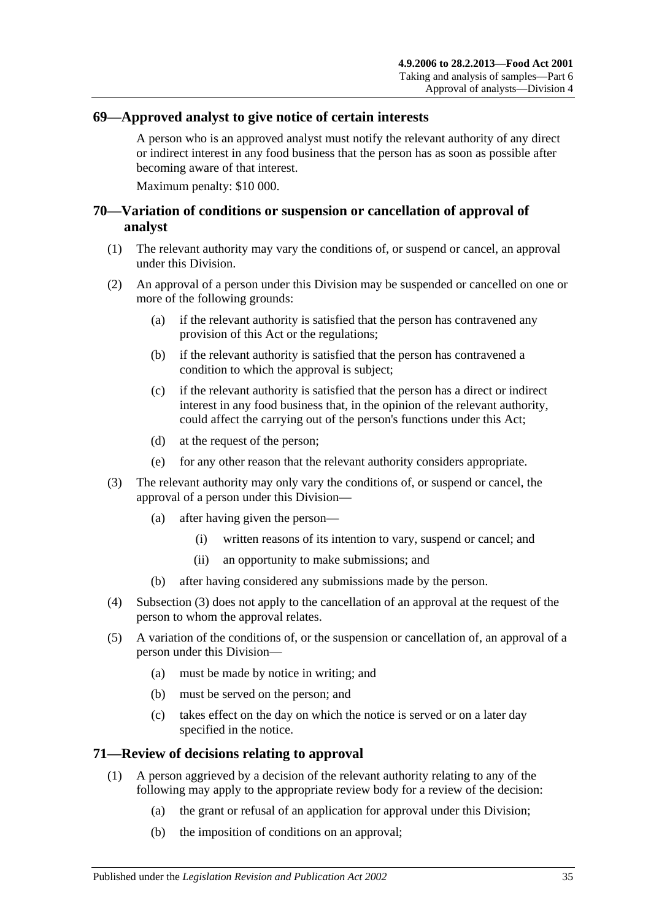## <span id="page-34-0"></span>**69—Approved analyst to give notice of certain interests**

A person who is an approved analyst must notify the relevant authority of any direct or indirect interest in any food business that the person has as soon as possible after becoming aware of that interest.

Maximum penalty: \$10 000.

## <span id="page-34-1"></span>**70—Variation of conditions or suspension or cancellation of approval of analyst**

- (1) The relevant authority may vary the conditions of, or suspend or cancel, an approval under this Division.
- (2) An approval of a person under this Division may be suspended or cancelled on one or more of the following grounds:
	- (a) if the relevant authority is satisfied that the person has contravened any provision of this Act or the regulations;
	- (b) if the relevant authority is satisfied that the person has contravened a condition to which the approval is subject;
	- (c) if the relevant authority is satisfied that the person has a direct or indirect interest in any food business that, in the opinion of the relevant authority, could affect the carrying out of the person's functions under this Act;
	- (d) at the request of the person;
	- (e) for any other reason that the relevant authority considers appropriate.
- <span id="page-34-3"></span>(3) The relevant authority may only vary the conditions of, or suspend or cancel, the approval of a person under this Division—
	- (a) after having given the person—
		- (i) written reasons of its intention to vary, suspend or cancel; and
		- (ii) an opportunity to make submissions; and
	- (b) after having considered any submissions made by the person.
- (4) [Subsection](#page-34-3) (3) does not apply to the cancellation of an approval at the request of the person to whom the approval relates.
- (5) A variation of the conditions of, or the suspension or cancellation of, an approval of a person under this Division—
	- (a) must be made by notice in writing; and
	- (b) must be served on the person; and
	- (c) takes effect on the day on which the notice is served or on a later day specified in the notice.

#### <span id="page-34-2"></span>**71—Review of decisions relating to approval**

- (1) A person aggrieved by a decision of the relevant authority relating to any of the following may apply to the appropriate review body for a review of the decision:
	- (a) the grant or refusal of an application for approval under this Division;
	- (b) the imposition of conditions on an approval;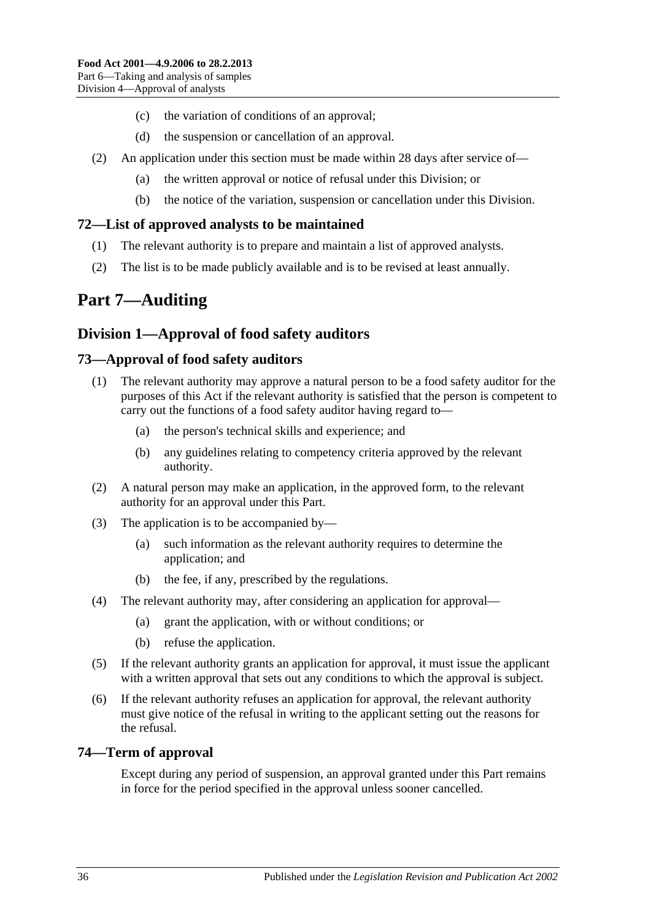- (c) the variation of conditions of an approval;
- (d) the suspension or cancellation of an approval.
- (2) An application under this section must be made within 28 days after service of—
	- (a) the written approval or notice of refusal under this Division; or
	- (b) the notice of the variation, suspension or cancellation under this Division.

## <span id="page-35-0"></span>**72—List of approved analysts to be maintained**

- (1) The relevant authority is to prepare and maintain a list of approved analysts.
- (2) The list is to be made publicly available and is to be revised at least annually.

# <span id="page-35-1"></span>**Part 7—Auditing**

## <span id="page-35-2"></span>**Division 1—Approval of food safety auditors**

## <span id="page-35-3"></span>**73—Approval of food safety auditors**

- (1) The relevant authority may approve a natural person to be a food safety auditor for the purposes of this Act if the relevant authority is satisfied that the person is competent to carry out the functions of a food safety auditor having regard to—
	- (a) the person's technical skills and experience; and
	- (b) any guidelines relating to competency criteria approved by the relevant authority.
- (2) A natural person may make an application, in the approved form, to the relevant authority for an approval under this Part.
- (3) The application is to be accompanied by—
	- (a) such information as the relevant authority requires to determine the application; and
	- (b) the fee, if any, prescribed by the regulations.
- (4) The relevant authority may, after considering an application for approval—
	- (a) grant the application, with or without conditions; or
	- (b) refuse the application.
- (5) If the relevant authority grants an application for approval, it must issue the applicant with a written approval that sets out any conditions to which the approval is subject.
- (6) If the relevant authority refuses an application for approval, the relevant authority must give notice of the refusal in writing to the applicant setting out the reasons for the refusal.

## <span id="page-35-4"></span>**74—Term of approval**

Except during any period of suspension, an approval granted under this Part remains in force for the period specified in the approval unless sooner cancelled.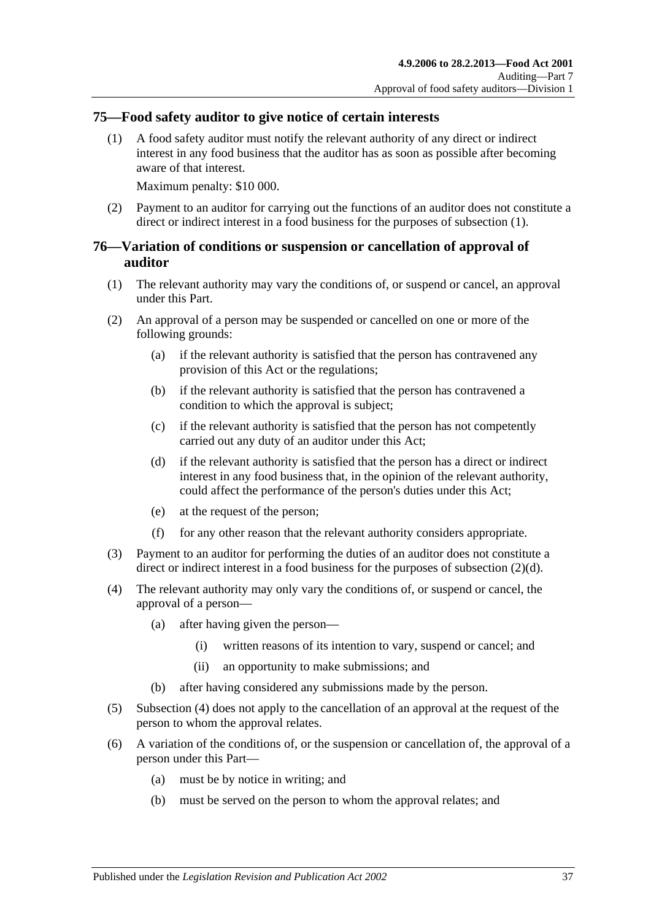## <span id="page-36-2"></span><span id="page-36-0"></span>**75—Food safety auditor to give notice of certain interests**

(1) A food safety auditor must notify the relevant authority of any direct or indirect interest in any food business that the auditor has as soon as possible after becoming aware of that interest.

Maximum penalty: \$10 000.

(2) Payment to an auditor for carrying out the functions of an auditor does not constitute a direct or indirect interest in a food business for the purposes of [subsection](#page-36-2) (1).

## <span id="page-36-1"></span>**76—Variation of conditions or suspension or cancellation of approval of auditor**

- (1) The relevant authority may vary the conditions of, or suspend or cancel, an approval under this Part.
- (2) An approval of a person may be suspended or cancelled on one or more of the following grounds:
	- (a) if the relevant authority is satisfied that the person has contravened any provision of this Act or the regulations;
	- (b) if the relevant authority is satisfied that the person has contravened a condition to which the approval is subject;
	- (c) if the relevant authority is satisfied that the person has not competently carried out any duty of an auditor under this Act;
	- (d) if the relevant authority is satisfied that the person has a direct or indirect interest in any food business that, in the opinion of the relevant authority, could affect the performance of the person's duties under this Act;
	- (e) at the request of the person;
	- (f) for any other reason that the relevant authority considers appropriate.
- <span id="page-36-3"></span>(3) Payment to an auditor for performing the duties of an auditor does not constitute a direct or indirect interest in a food business for the purposes of [subsection](#page-36-3) (2)(d).
- <span id="page-36-4"></span>(4) The relevant authority may only vary the conditions of, or suspend or cancel, the approval of a person—
	- (a) after having given the person—
		- (i) written reasons of its intention to vary, suspend or cancel; and
		- (ii) an opportunity to make submissions; and
	- (b) after having considered any submissions made by the person.
- (5) [Subsection](#page-36-4) (4) does not apply to the cancellation of an approval at the request of the person to whom the approval relates.
- (6) A variation of the conditions of, or the suspension or cancellation of, the approval of a person under this Part—
	- (a) must be by notice in writing; and
	- (b) must be served on the person to whom the approval relates; and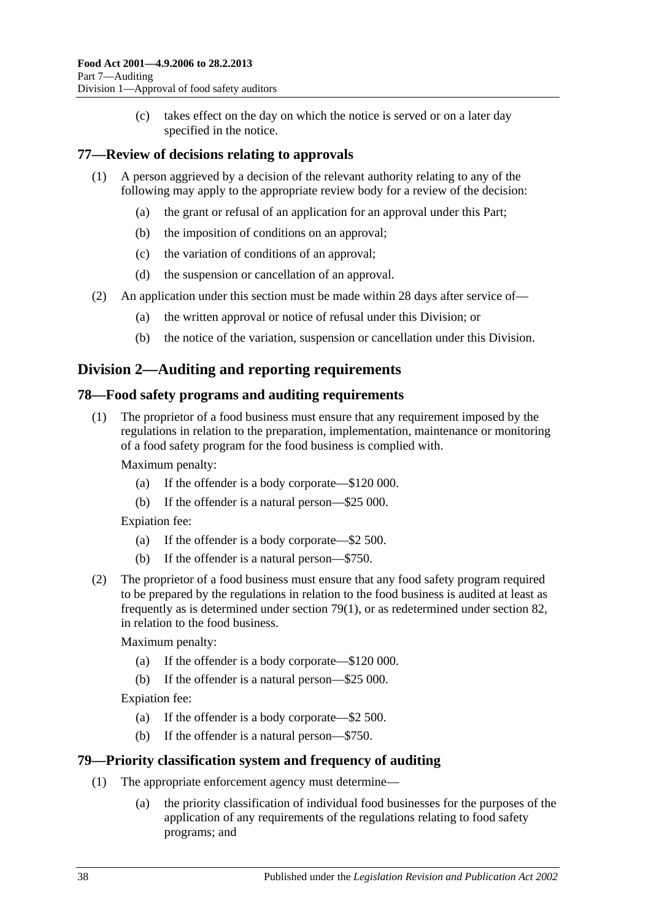(c) takes effect on the day on which the notice is served or on a later day specified in the notice.

## <span id="page-37-0"></span>**77—Review of decisions relating to approvals**

- (1) A person aggrieved by a decision of the relevant authority relating to any of the following may apply to the appropriate review body for a review of the decision:
	- (a) the grant or refusal of an application for an approval under this Part;
	- (b) the imposition of conditions on an approval;
	- (c) the variation of conditions of an approval;
	- (d) the suspension or cancellation of an approval.
- (2) An application under this section must be made within 28 days after service of—
	- (a) the written approval or notice of refusal under this Division; or
	- (b) the notice of the variation, suspension or cancellation under this Division.

## <span id="page-37-1"></span>**Division 2—Auditing and reporting requirements**

## <span id="page-37-2"></span>**78—Food safety programs and auditing requirements**

(1) The proprietor of a food business must ensure that any requirement imposed by the regulations in relation to the preparation, implementation, maintenance or monitoring of a food safety program for the food business is complied with.

Maximum penalty:

- (a) If the offender is a body corporate—\$120 000.
- (b) If the offender is a natural person—\$25 000.

Expiation fee:

- (a) If the offender is a body corporate—\$2 500.
- (b) If the offender is a natural person—\$750.
- (2) The proprietor of a food business must ensure that any food safety program required to be prepared by the regulations in relation to the food business is audited at least as frequently as is determined under [section](#page-37-4) 79(1), or as redetermined under [section](#page-39-0) 82, in relation to the food business.

Maximum penalty:

- (a) If the offender is a body corporate—\$120 000.
- (b) If the offender is a natural person—\$25 000.

Expiation fee:

- (a) If the offender is a body corporate—\$2 500.
- (b) If the offender is a natural person—\$750.

## <span id="page-37-4"></span><span id="page-37-3"></span>**79—Priority classification system and frequency of auditing**

- (1) The appropriate enforcement agency must determine—
	- (a) the priority classification of individual food businesses for the purposes of the application of any requirements of the regulations relating to food safety programs; and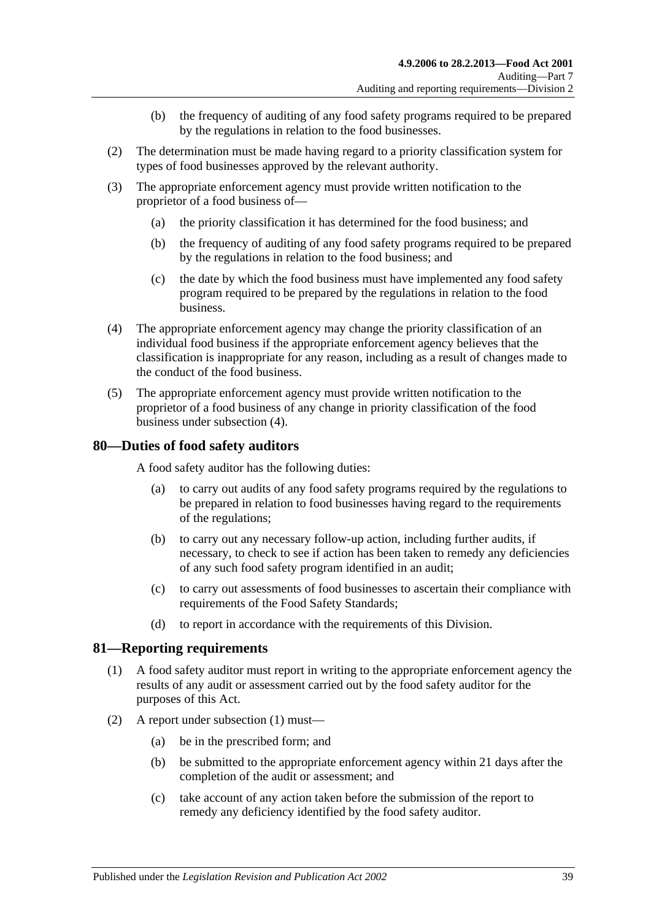- (b) the frequency of auditing of any food safety programs required to be prepared by the regulations in relation to the food businesses.
- (2) The determination must be made having regard to a priority classification system for types of food businesses approved by the relevant authority.
- (3) The appropriate enforcement agency must provide written notification to the proprietor of a food business of—
	- (a) the priority classification it has determined for the food business; and
	- (b) the frequency of auditing of any food safety programs required to be prepared by the regulations in relation to the food business; and
	- (c) the date by which the food business must have implemented any food safety program required to be prepared by the regulations in relation to the food business.
- <span id="page-38-2"></span>(4) The appropriate enforcement agency may change the priority classification of an individual food business if the appropriate enforcement agency believes that the classification is inappropriate for any reason, including as a result of changes made to the conduct of the food business.
- (5) The appropriate enforcement agency must provide written notification to the proprietor of a food business of any change in priority classification of the food business under [subsection](#page-38-2) (4).

## <span id="page-38-0"></span>**80—Duties of food safety auditors**

A food safety auditor has the following duties:

- (a) to carry out audits of any food safety programs required by the regulations to be prepared in relation to food businesses having regard to the requirements of the regulations;
- (b) to carry out any necessary follow-up action, including further audits, if necessary, to check to see if action has been taken to remedy any deficiencies of any such food safety program identified in an audit;
- (c) to carry out assessments of food businesses to ascertain their compliance with requirements of the Food Safety Standards;
- (d) to report in accordance with the requirements of this Division.

#### <span id="page-38-3"></span><span id="page-38-1"></span>**81—Reporting requirements**

- (1) A food safety auditor must report in writing to the appropriate enforcement agency the results of any audit or assessment carried out by the food safety auditor for the purposes of this Act.
- (2) A report under [subsection](#page-38-3) (1) must—
	- (a) be in the prescribed form; and
	- (b) be submitted to the appropriate enforcement agency within 21 days after the completion of the audit or assessment; and
	- (c) take account of any action taken before the submission of the report to remedy any deficiency identified by the food safety auditor.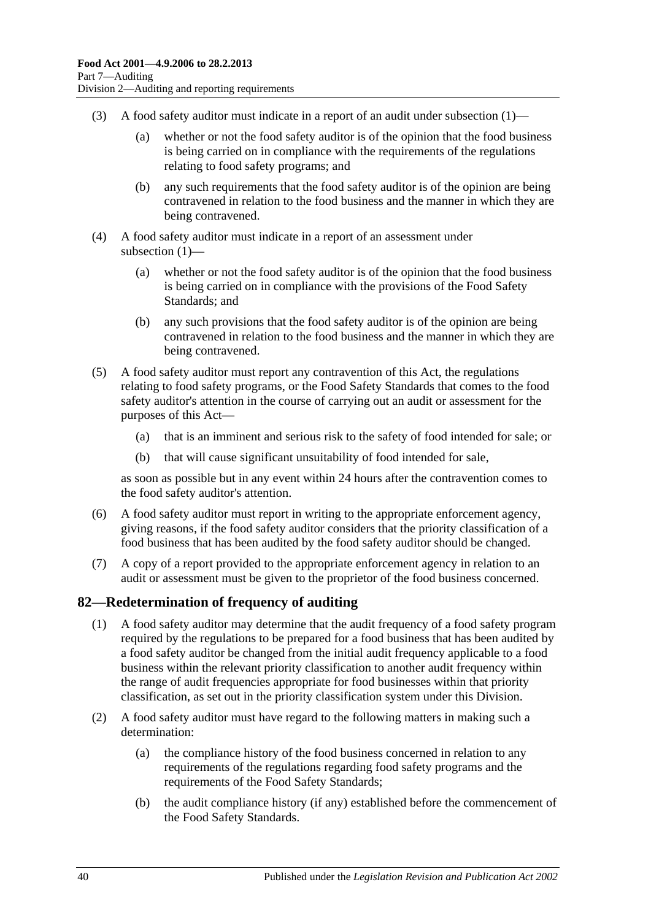- (3) A food safety auditor must indicate in a report of an audit under [subsection](#page-38-3)  $(1)$ 
	- (a) whether or not the food safety auditor is of the opinion that the food business is being carried on in compliance with the requirements of the regulations relating to food safety programs; and
	- (b) any such requirements that the food safety auditor is of the opinion are being contravened in relation to the food business and the manner in which they are being contravened.
- (4) A food safety auditor must indicate in a report of an assessment under [subsection](#page-38-3) (1)—
	- (a) whether or not the food safety auditor is of the opinion that the food business is being carried on in compliance with the provisions of the Food Safety Standards; and
	- (b) any such provisions that the food safety auditor is of the opinion are being contravened in relation to the food business and the manner in which they are being contravened.
- (5) A food safety auditor must report any contravention of this Act, the regulations relating to food safety programs, or the Food Safety Standards that comes to the food safety auditor's attention in the course of carrying out an audit or assessment for the purposes of this Act—
	- (a) that is an imminent and serious risk to the safety of food intended for sale; or
	- (b) that will cause significant unsuitability of food intended for sale,

as soon as possible but in any event within 24 hours after the contravention comes to the food safety auditor's attention.

- (6) A food safety auditor must report in writing to the appropriate enforcement agency, giving reasons, if the food safety auditor considers that the priority classification of a food business that has been audited by the food safety auditor should be changed.
- (7) A copy of a report provided to the appropriate enforcement agency in relation to an audit or assessment must be given to the proprietor of the food business concerned.

## <span id="page-39-0"></span>**82—Redetermination of frequency of auditing**

- (1) A food safety auditor may determine that the audit frequency of a food safety program required by the regulations to be prepared for a food business that has been audited by a food safety auditor be changed from the initial audit frequency applicable to a food business within the relevant priority classification to another audit frequency within the range of audit frequencies appropriate for food businesses within that priority classification, as set out in the priority classification system under this Division.
- (2) A food safety auditor must have regard to the following matters in making such a determination:
	- (a) the compliance history of the food business concerned in relation to any requirements of the regulations regarding food safety programs and the requirements of the Food Safety Standards;
	- (b) the audit compliance history (if any) established before the commencement of the Food Safety Standards.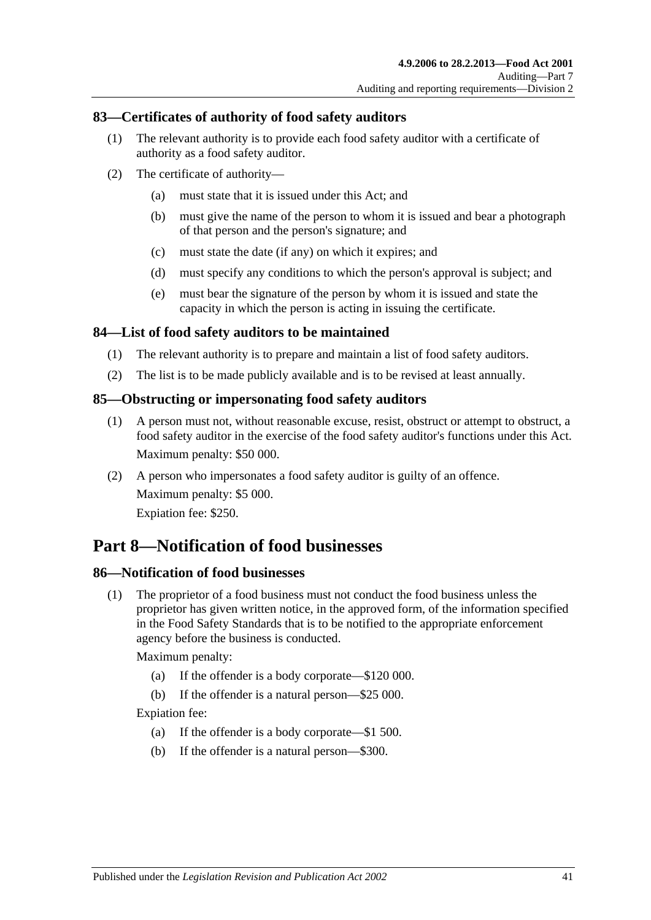## <span id="page-40-0"></span>**83—Certificates of authority of food safety auditors**

- (1) The relevant authority is to provide each food safety auditor with a certificate of authority as a food safety auditor.
- (2) The certificate of authority—
	- (a) must state that it is issued under this Act; and
	- (b) must give the name of the person to whom it is issued and bear a photograph of that person and the person's signature; and
	- (c) must state the date (if any) on which it expires; and
	- (d) must specify any conditions to which the person's approval is subject; and
	- (e) must bear the signature of the person by whom it is issued and state the capacity in which the person is acting in issuing the certificate.

#### <span id="page-40-1"></span>**84—List of food safety auditors to be maintained**

- (1) The relevant authority is to prepare and maintain a list of food safety auditors.
- (2) The list is to be made publicly available and is to be revised at least annually.

#### <span id="page-40-2"></span>**85—Obstructing or impersonating food safety auditors**

- (1) A person must not, without reasonable excuse, resist, obstruct or attempt to obstruct, a food safety auditor in the exercise of the food safety auditor's functions under this Act. Maximum penalty: \$50 000.
- (2) A person who impersonates a food safety auditor is guilty of an offence. Maximum penalty: \$5 000. Expiation fee: \$250.

# <span id="page-40-3"></span>**Part 8—Notification of food businesses**

#### <span id="page-40-5"></span><span id="page-40-4"></span>**86—Notification of food businesses**

(1) The proprietor of a food business must not conduct the food business unless the proprietor has given written notice, in the approved form, of the information specified in the Food Safety Standards that is to be notified to the appropriate enforcement agency before the business is conducted.

#### Maximum penalty:

- (a) If the offender is a body corporate—\$120 000.
- (b) If the offender is a natural person—\$25 000.

Expiation fee:

- (a) If the offender is a body corporate—\$1 500.
- (b) If the offender is a natural person—\$300.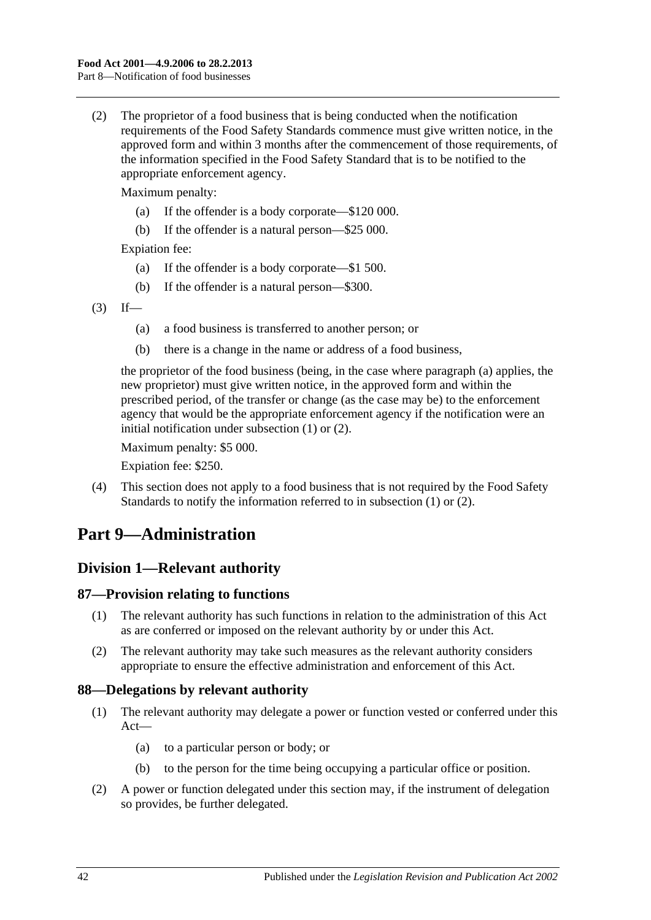<span id="page-41-5"></span>(2) The proprietor of a food business that is being conducted when the notification requirements of the Food Safety Standards commence must give written notice, in the approved form and within 3 months after the commencement of those requirements, of the information specified in the Food Safety Standard that is to be notified to the appropriate enforcement agency.

Maximum penalty:

- (a) If the offender is a body corporate—\$120 000.
- (b) If the offender is a natural person—\$25 000.

Expiation fee:

- (a) If the offender is a body corporate—\$1 500.
- (b) If the offender is a natural person—\$300.
- <span id="page-41-4"></span> $(3)$  If—
	- (a) a food business is transferred to another person; or
	- (b) there is a change in the name or address of a food business,

the proprietor of the food business (being, in the case where [paragraph](#page-41-4) (a) applies, the new proprietor) must give written notice, in the approved form and within the prescribed period, of the transfer or change (as the case may be) to the enforcement agency that would be the appropriate enforcement agency if the notification were an initial notification under [subsection](#page-40-5) (1) or [\(2\).](#page-41-5)

Maximum penalty: \$5 000.

Expiation fee: \$250.

(4) This section does not apply to a food business that is not required by the Food Safety Standards to notify the information referred to in [subsection](#page-40-5) (1) or [\(2\).](#page-41-5)

# <span id="page-41-0"></span>**Part 9—Administration**

# <span id="page-41-1"></span>**Division 1—Relevant authority**

## <span id="page-41-2"></span>**87—Provision relating to functions**

- (1) The relevant authority has such functions in relation to the administration of this Act as are conferred or imposed on the relevant authority by or under this Act.
- (2) The relevant authority may take such measures as the relevant authority considers appropriate to ensure the effective administration and enforcement of this Act.

## <span id="page-41-3"></span>**88—Delegations by relevant authority**

- (1) The relevant authority may delegate a power or function vested or conferred under this Act—
	- (a) to a particular person or body; or
	- (b) to the person for the time being occupying a particular office or position.
- (2) A power or function delegated under this section may, if the instrument of delegation so provides, be further delegated.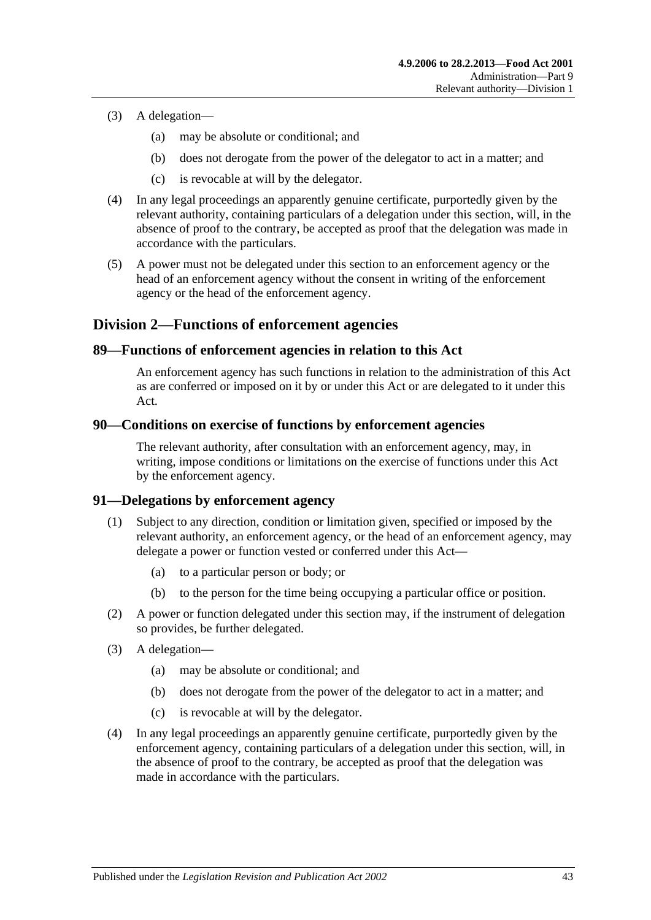- (3) A delegation—
	- (a) may be absolute or conditional; and
	- (b) does not derogate from the power of the delegator to act in a matter; and
	- (c) is revocable at will by the delegator.
- (4) In any legal proceedings an apparently genuine certificate, purportedly given by the relevant authority, containing particulars of a delegation under this section, will, in the absence of proof to the contrary, be accepted as proof that the delegation was made in accordance with the particulars.
- (5) A power must not be delegated under this section to an enforcement agency or the head of an enforcement agency without the consent in writing of the enforcement agency or the head of the enforcement agency.

## <span id="page-42-0"></span>**Division 2—Functions of enforcement agencies**

## <span id="page-42-1"></span>**89—Functions of enforcement agencies in relation to this Act**

An enforcement agency has such functions in relation to the administration of this Act as are conferred or imposed on it by or under this Act or are delegated to it under this Act.

#### <span id="page-42-2"></span>**90—Conditions on exercise of functions by enforcement agencies**

The relevant authority, after consultation with an enforcement agency, may, in writing, impose conditions or limitations on the exercise of functions under this Act by the enforcement agency.

#### <span id="page-42-3"></span>**91—Delegations by enforcement agency**

- (1) Subject to any direction, condition or limitation given, specified or imposed by the relevant authority, an enforcement agency, or the head of an enforcement agency, may delegate a power or function vested or conferred under this Act—
	- (a) to a particular person or body; or
	- (b) to the person for the time being occupying a particular office or position.
- (2) A power or function delegated under this section may, if the instrument of delegation so provides, be further delegated.
- (3) A delegation—
	- (a) may be absolute or conditional; and
	- (b) does not derogate from the power of the delegator to act in a matter; and
	- (c) is revocable at will by the delegator.
- (4) In any legal proceedings an apparently genuine certificate, purportedly given by the enforcement agency, containing particulars of a delegation under this section, will, in the absence of proof to the contrary, be accepted as proof that the delegation was made in accordance with the particulars.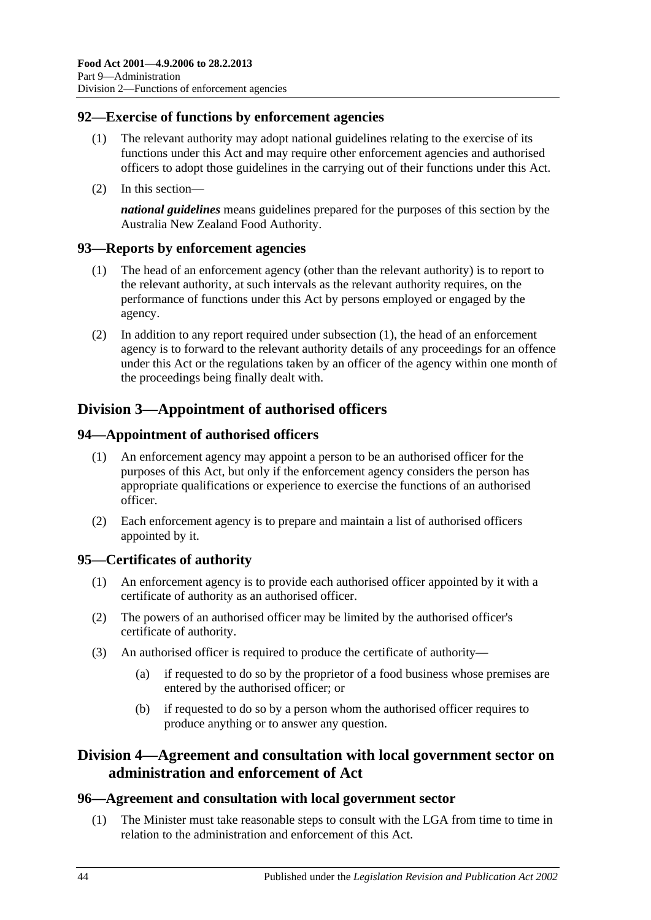## <span id="page-43-0"></span>**92—Exercise of functions by enforcement agencies**

- (1) The relevant authority may adopt national guidelines relating to the exercise of its functions under this Act and may require other enforcement agencies and authorised officers to adopt those guidelines in the carrying out of their functions under this Act.
- (2) In this section—

*national guidelines* means guidelines prepared for the purposes of this section by the Australia New Zealand Food Authority.

## <span id="page-43-7"></span><span id="page-43-1"></span>**93—Reports by enforcement agencies**

- (1) The head of an enforcement agency (other than the relevant authority) is to report to the relevant authority, at such intervals as the relevant authority requires, on the performance of functions under this Act by persons employed or engaged by the agency.
- (2) In addition to any report required under [subsection](#page-43-7) (1), the head of an enforcement agency is to forward to the relevant authority details of any proceedings for an offence under this Act or the regulations taken by an officer of the agency within one month of the proceedings being finally dealt with.

# <span id="page-43-2"></span>**Division 3—Appointment of authorised officers**

## <span id="page-43-3"></span>**94—Appointment of authorised officers**

- (1) An enforcement agency may appoint a person to be an authorised officer for the purposes of this Act, but only if the enforcement agency considers the person has appropriate qualifications or experience to exercise the functions of an authorised officer.
- (2) Each enforcement agency is to prepare and maintain a list of authorised officers appointed by it.

## <span id="page-43-4"></span>**95—Certificates of authority**

- (1) An enforcement agency is to provide each authorised officer appointed by it with a certificate of authority as an authorised officer.
- (2) The powers of an authorised officer may be limited by the authorised officer's certificate of authority.
- (3) An authorised officer is required to produce the certificate of authority—
	- (a) if requested to do so by the proprietor of a food business whose premises are entered by the authorised officer; or
	- (b) if requested to do so by a person whom the authorised officer requires to produce anything or to answer any question.

## <span id="page-43-5"></span>**Division 4—Agreement and consultation with local government sector on administration and enforcement of Act**

## <span id="page-43-8"></span><span id="page-43-6"></span>**96—Agreement and consultation with local government sector**

(1) The Minister must take reasonable steps to consult with the LGA from time to time in relation to the administration and enforcement of this Act.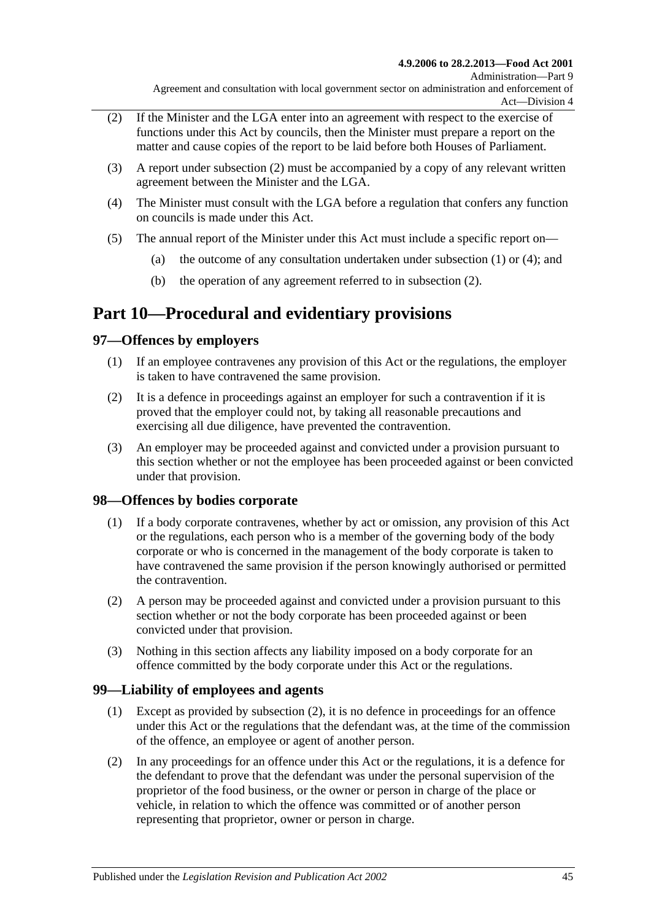- <span id="page-44-4"></span>(2) If the Minister and the LGA enter into an agreement with respect to the exercise of functions under this Act by councils, then the Minister must prepare a report on the matter and cause copies of the report to be laid before both Houses of Parliament.
- (3) A report under [subsection](#page-44-4) (2) must be accompanied by a copy of any relevant written agreement between the Minister and the LGA.
- <span id="page-44-5"></span>(4) The Minister must consult with the LGA before a regulation that confers any function on councils is made under this Act.
- (5) The annual report of the Minister under this Act must include a specific report on
	- (a) the outcome of any consultation undertaken under [subsection](#page-43-8)  $(1)$  or  $(4)$ ; and
	- (b) the operation of any agreement referred to in [subsection](#page-44-4) (2).

# <span id="page-44-0"></span>**Part 10—Procedural and evidentiary provisions**

## <span id="page-44-1"></span>**97—Offences by employers**

- (1) If an employee contravenes any provision of this Act or the regulations, the employer is taken to have contravened the same provision.
- (2) It is a defence in proceedings against an employer for such a contravention if it is proved that the employer could not, by taking all reasonable precautions and exercising all due diligence, have prevented the contravention.
- (3) An employer may be proceeded against and convicted under a provision pursuant to this section whether or not the employee has been proceeded against or been convicted under that provision.

## <span id="page-44-2"></span>**98—Offences by bodies corporate**

- (1) If a body corporate contravenes, whether by act or omission, any provision of this Act or the regulations, each person who is a member of the governing body of the body corporate or who is concerned in the management of the body corporate is taken to have contravened the same provision if the person knowingly authorised or permitted the contravention.
- (2) A person may be proceeded against and convicted under a provision pursuant to this section whether or not the body corporate has been proceeded against or been convicted under that provision.
- (3) Nothing in this section affects any liability imposed on a body corporate for an offence committed by the body corporate under this Act or the regulations.

## <span id="page-44-3"></span>**99—Liability of employees and agents**

- (1) Except as provided by [subsection](#page-44-6) (2), it is no defence in proceedings for an offence under this Act or the regulations that the defendant was, at the time of the commission of the offence, an employee or agent of another person.
- <span id="page-44-6"></span>(2) In any proceedings for an offence under this Act or the regulations, it is a defence for the defendant to prove that the defendant was under the personal supervision of the proprietor of the food business, or the owner or person in charge of the place or vehicle, in relation to which the offence was committed or of another person representing that proprietor, owner or person in charge.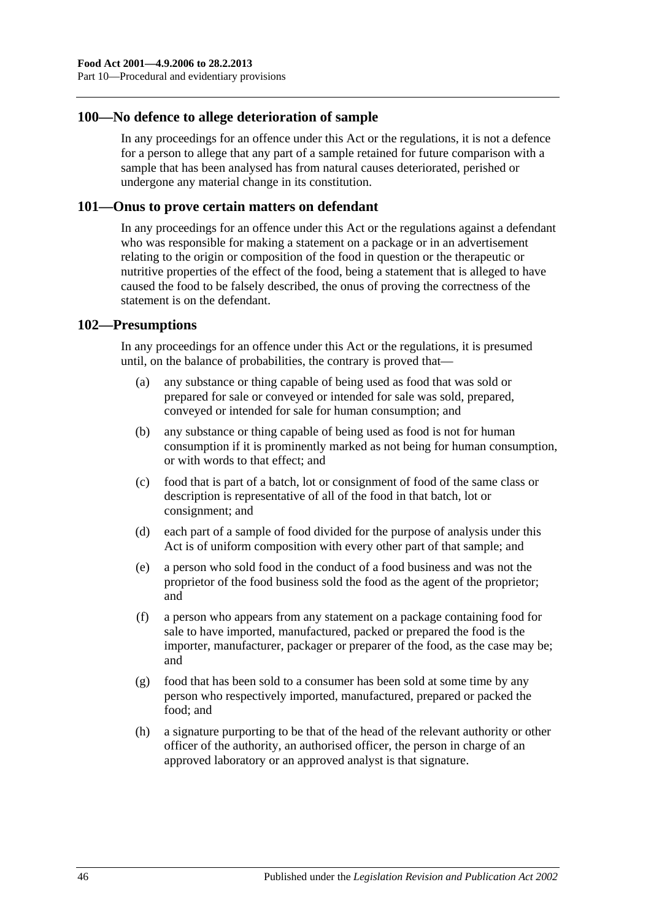### <span id="page-45-0"></span>**100—No defence to allege deterioration of sample**

In any proceedings for an offence under this Act or the regulations, it is not a defence for a person to allege that any part of a sample retained for future comparison with a sample that has been analysed has from natural causes deteriorated, perished or undergone any material change in its constitution.

#### <span id="page-45-1"></span>**101—Onus to prove certain matters on defendant**

In any proceedings for an offence under this Act or the regulations against a defendant who was responsible for making a statement on a package or in an advertisement relating to the origin or composition of the food in question or the therapeutic or nutritive properties of the effect of the food, being a statement that is alleged to have caused the food to be falsely described, the onus of proving the correctness of the statement is on the defendant.

#### <span id="page-45-2"></span>**102—Presumptions**

In any proceedings for an offence under this Act or the regulations, it is presumed until, on the balance of probabilities, the contrary is proved that—

- (a) any substance or thing capable of being used as food that was sold or prepared for sale or conveyed or intended for sale was sold, prepared, conveyed or intended for sale for human consumption; and
- (b) any substance or thing capable of being used as food is not for human consumption if it is prominently marked as not being for human consumption, or with words to that effect; and
- (c) food that is part of a batch, lot or consignment of food of the same class or description is representative of all of the food in that batch, lot or consignment; and
- (d) each part of a sample of food divided for the purpose of analysis under this Act is of uniform composition with every other part of that sample; and
- (e) a person who sold food in the conduct of a food business and was not the proprietor of the food business sold the food as the agent of the proprietor; and
- (f) a person who appears from any statement on a package containing food for sale to have imported, manufactured, packed or prepared the food is the importer, manufacturer, packager or preparer of the food, as the case may be; and
- (g) food that has been sold to a consumer has been sold at some time by any person who respectively imported, manufactured, prepared or packed the food; and
- (h) a signature purporting to be that of the head of the relevant authority or other officer of the authority, an authorised officer, the person in charge of an approved laboratory or an approved analyst is that signature.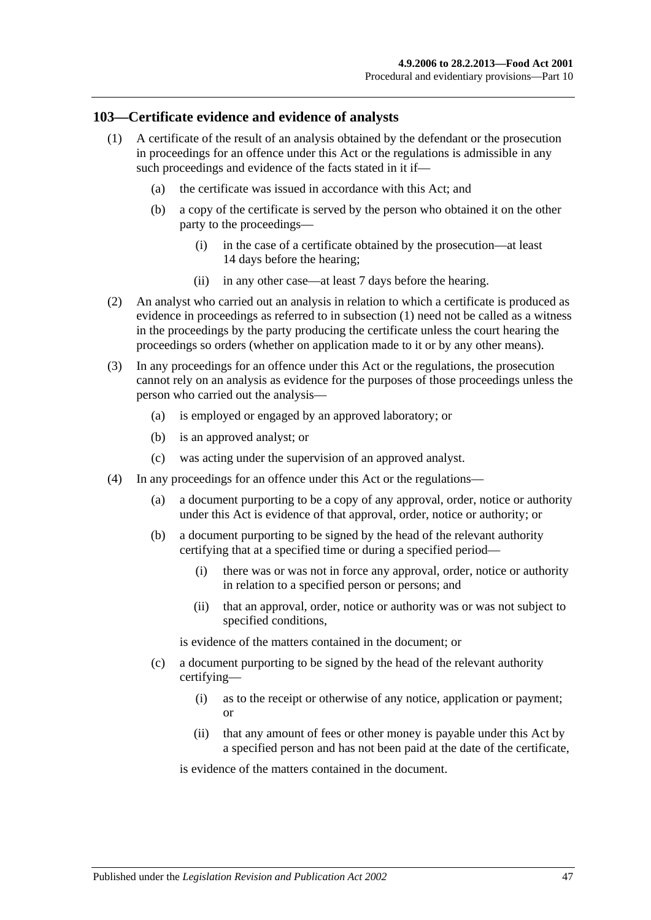#### <span id="page-46-1"></span><span id="page-46-0"></span>**103—Certificate evidence and evidence of analysts**

- (1) A certificate of the result of an analysis obtained by the defendant or the prosecution in proceedings for an offence under this Act or the regulations is admissible in any such proceedings and evidence of the facts stated in it if—
	- (a) the certificate was issued in accordance with this Act; and
	- (b) a copy of the certificate is served by the person who obtained it on the other party to the proceedings—
		- (i) in the case of a certificate obtained by the prosecution—at least 14 days before the hearing;
		- (ii) in any other case—at least 7 days before the hearing.
- (2) An analyst who carried out an analysis in relation to which a certificate is produced as evidence in proceedings as referred to in [subsection](#page-46-1) (1) need not be called as a witness in the proceedings by the party producing the certificate unless the court hearing the proceedings so orders (whether on application made to it or by any other means).
- (3) In any proceedings for an offence under this Act or the regulations, the prosecution cannot rely on an analysis as evidence for the purposes of those proceedings unless the person who carried out the analysis—
	- (a) is employed or engaged by an approved laboratory; or
	- (b) is an approved analyst; or
	- (c) was acting under the supervision of an approved analyst.
- (4) In any proceedings for an offence under this Act or the regulations—
	- (a) a document purporting to be a copy of any approval, order, notice or authority under this Act is evidence of that approval, order, notice or authority; or
	- (b) a document purporting to be signed by the head of the relevant authority certifying that at a specified time or during a specified period—
		- (i) there was or was not in force any approval, order, notice or authority in relation to a specified person or persons; and
		- (ii) that an approval, order, notice or authority was or was not subject to specified conditions,

is evidence of the matters contained in the document; or

- (c) a document purporting to be signed by the head of the relevant authority certifying—
	- (i) as to the receipt or otherwise of any notice, application or payment; or
	- (ii) that any amount of fees or other money is payable under this Act by a specified person and has not been paid at the date of the certificate,

is evidence of the matters contained in the document.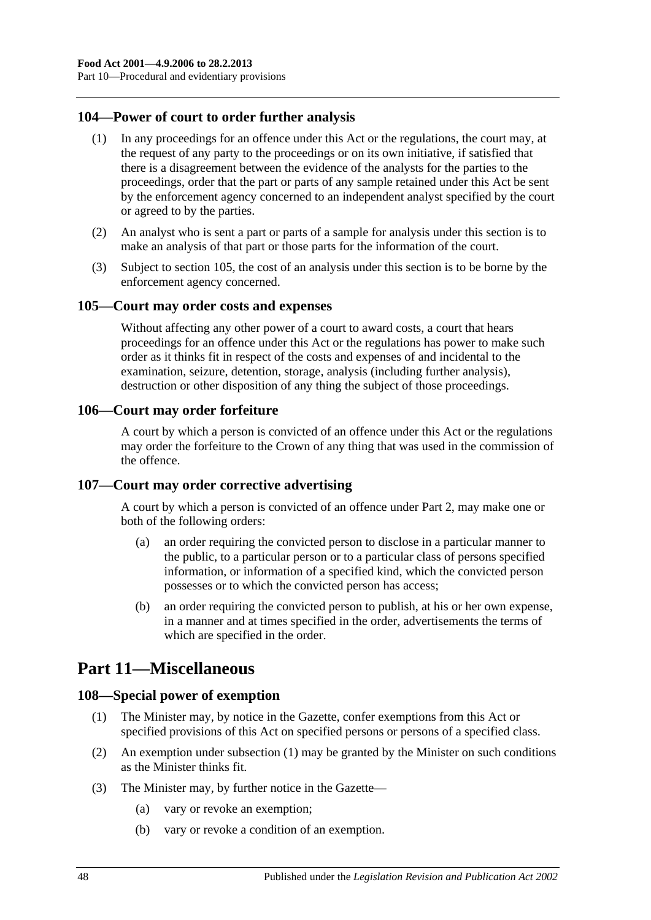## <span id="page-47-0"></span>**104—Power of court to order further analysis**

- (1) In any proceedings for an offence under this Act or the regulations, the court may, at the request of any party to the proceedings or on its own initiative, if satisfied that there is a disagreement between the evidence of the analysts for the parties to the proceedings, order that the part or parts of any sample retained under this Act be sent by the enforcement agency concerned to an independent analyst specified by the court or agreed to by the parties.
- (2) An analyst who is sent a part or parts of a sample for analysis under this section is to make an analysis of that part or those parts for the information of the court.
- (3) Subject to [section](#page-47-1) 105, the cost of an analysis under this section is to be borne by the enforcement agency concerned.

#### <span id="page-47-1"></span>**105—Court may order costs and expenses**

Without affecting any other power of a court to award costs, a court that hears proceedings for an offence under this Act or the regulations has power to make such order as it thinks fit in respect of the costs and expenses of and incidental to the examination, seizure, detention, storage, analysis (including further analysis), destruction or other disposition of any thing the subject of those proceedings.

#### <span id="page-47-2"></span>**106—Court may order forfeiture**

A court by which a person is convicted of an offence under this Act or the regulations may order the forfeiture to the Crown of any thing that was used in the commission of the offence.

## <span id="page-47-3"></span>**107—Court may order corrective advertising**

A court by which a person is convicted of an offence under [Part 2,](#page-10-3) may make one or both of the following orders:

- (a) an order requiring the convicted person to disclose in a particular manner to the public, to a particular person or to a particular class of persons specified information, or information of a specified kind, which the convicted person possesses or to which the convicted person has access;
- (b) an order requiring the convicted person to publish, at his or her own expense, in a manner and at times specified in the order, advertisements the terms of which are specified in the order.

# <span id="page-47-4"></span>**Part 11—Miscellaneous**

#### <span id="page-47-6"></span><span id="page-47-5"></span>**108—Special power of exemption**

- (1) The Minister may, by notice in the Gazette, confer exemptions from this Act or specified provisions of this Act on specified persons or persons of a specified class.
- (2) An exemption under [subsection](#page-47-6) (1) may be granted by the Minister on such conditions as the Minister thinks fit.
- (3) The Minister may, by further notice in the Gazette—
	- (a) vary or revoke an exemption;
	- (b) vary or revoke a condition of an exemption.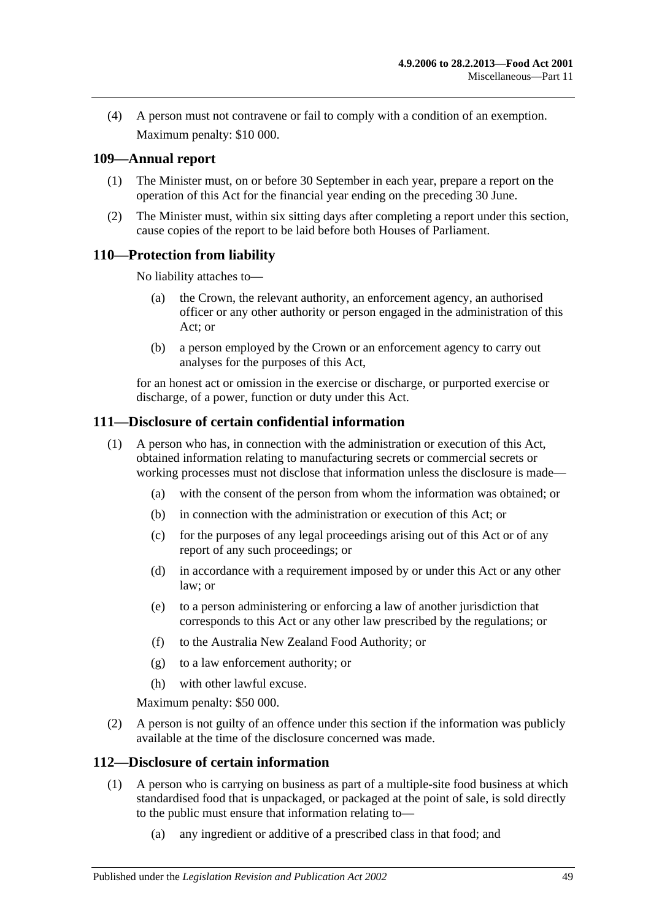(4) A person must not contravene or fail to comply with a condition of an exemption. Maximum penalty: \$10 000.

## <span id="page-48-0"></span>**109—Annual report**

- (1) The Minister must, on or before 30 September in each year, prepare a report on the operation of this Act for the financial year ending on the preceding 30 June.
- (2) The Minister must, within six sitting days after completing a report under this section, cause copies of the report to be laid before both Houses of Parliament.

## <span id="page-48-1"></span>**110—Protection from liability**

No liability attaches to—

- (a) the Crown, the relevant authority, an enforcement agency, an authorised officer or any other authority or person engaged in the administration of this Act; or
- (b) a person employed by the Crown or an enforcement agency to carry out analyses for the purposes of this Act,

for an honest act or omission in the exercise or discharge, or purported exercise or discharge, of a power, function or duty under this Act.

## <span id="page-48-2"></span>**111—Disclosure of certain confidential information**

- (1) A person who has, in connection with the administration or execution of this Act, obtained information relating to manufacturing secrets or commercial secrets or working processes must not disclose that information unless the disclosure is made—
	- (a) with the consent of the person from whom the information was obtained; or
	- (b) in connection with the administration or execution of this Act; or
	- (c) for the purposes of any legal proceedings arising out of this Act or of any report of any such proceedings; or
	- (d) in accordance with a requirement imposed by or under this Act or any other law; or
	- (e) to a person administering or enforcing a law of another jurisdiction that corresponds to this Act or any other law prescribed by the regulations; or
	- (f) to the Australia New Zealand Food Authority; or
	- (g) to a law enforcement authority; or
	- (h) with other lawful excuse.

Maximum penalty: \$50 000.

(2) A person is not guilty of an offence under this section if the information was publicly available at the time of the disclosure concerned was made.

#### <span id="page-48-4"></span><span id="page-48-3"></span>**112—Disclosure of certain information**

- (1) A person who is carrying on business as part of a multiple-site food business at which standardised food that is unpackaged, or packaged at the point of sale, is sold directly to the public must ensure that information relating to—
	- (a) any ingredient or additive of a prescribed class in that food; and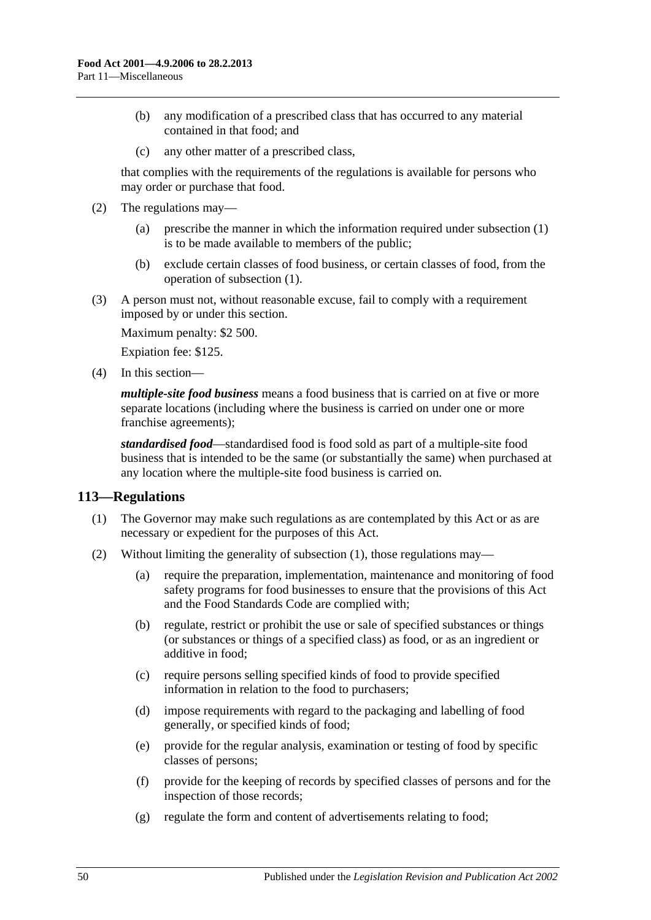- (b) any modification of a prescribed class that has occurred to any material contained in that food; and
- (c) any other matter of a prescribed class,

that complies with the requirements of the regulations is available for persons who may order or purchase that food.

- (2) The regulations may—
	- (a) prescribe the manner in which the information required under [subsection](#page-48-4) (1) is to be made available to members of the public;
	- (b) exclude certain classes of food business, or certain classes of food, from the operation of [subsection](#page-48-4) (1).

(3) A person must not, without reasonable excuse, fail to comply with a requirement imposed by or under this section.

Maximum penalty: \$2 500.

Expiation fee: \$125.

(4) In this section—

*multiple-site food business* means a food business that is carried on at five or more separate locations (including where the business is carried on under one or more franchise agreements);

*standardised food*—standardised food is food sold as part of a multiple-site food business that is intended to be the same (or substantially the same) when purchased at any location where the multiple-site food business is carried on.

## <span id="page-49-1"></span><span id="page-49-0"></span>**113—Regulations**

- (1) The Governor may make such regulations as are contemplated by this Act or as are necessary or expedient for the purposes of this Act.
- (2) Without limiting the generality of [subsection](#page-49-1) (1), those regulations may—
	- (a) require the preparation, implementation, maintenance and monitoring of food safety programs for food businesses to ensure that the provisions of this Act and the Food Standards Code are complied with;
	- (b) regulate, restrict or prohibit the use or sale of specified substances or things (or substances or things of a specified class) as food, or as an ingredient or additive in food;
	- (c) require persons selling specified kinds of food to provide specified information in relation to the food to purchasers;
	- (d) impose requirements with regard to the packaging and labelling of food generally, or specified kinds of food;
	- (e) provide for the regular analysis, examination or testing of food by specific classes of persons;
	- (f) provide for the keeping of records by specified classes of persons and for the inspection of those records;
	- (g) regulate the form and content of advertisements relating to food;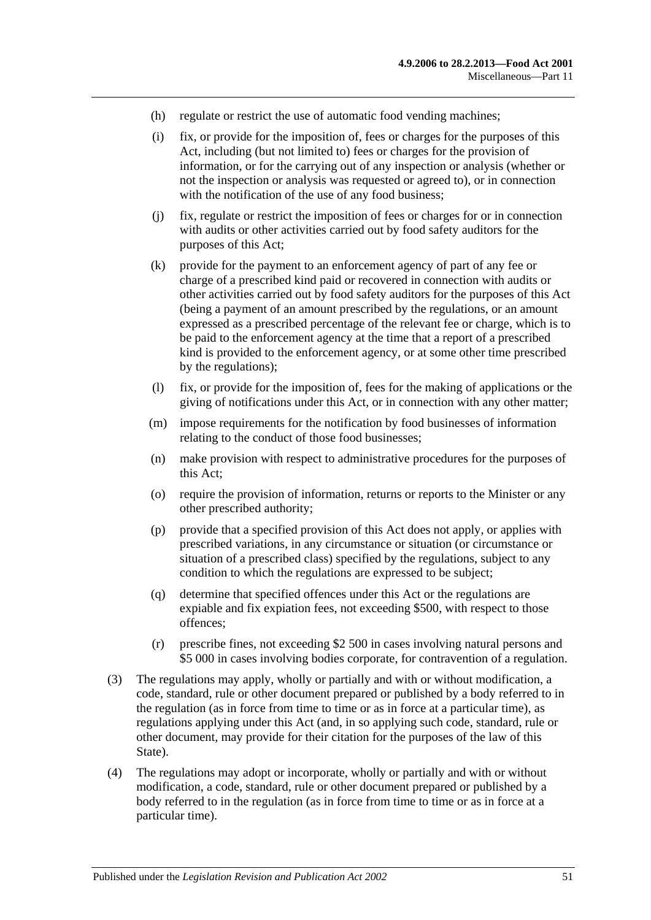- (h) regulate or restrict the use of automatic food vending machines;
- (i) fix, or provide for the imposition of, fees or charges for the purposes of this Act, including (but not limited to) fees or charges for the provision of information, or for the carrying out of any inspection or analysis (whether or not the inspection or analysis was requested or agreed to), or in connection with the notification of the use of any food business;
- (j) fix, regulate or restrict the imposition of fees or charges for or in connection with audits or other activities carried out by food safety auditors for the purposes of this Act;
- (k) provide for the payment to an enforcement agency of part of any fee or charge of a prescribed kind paid or recovered in connection with audits or other activities carried out by food safety auditors for the purposes of this Act (being a payment of an amount prescribed by the regulations, or an amount expressed as a prescribed percentage of the relevant fee or charge, which is to be paid to the enforcement agency at the time that a report of a prescribed kind is provided to the enforcement agency, or at some other time prescribed by the regulations);
- (l) fix, or provide for the imposition of, fees for the making of applications or the giving of notifications under this Act, or in connection with any other matter;
- (m) impose requirements for the notification by food businesses of information relating to the conduct of those food businesses;
- (n) make provision with respect to administrative procedures for the purposes of this Act;
- (o) require the provision of information, returns or reports to the Minister or any other prescribed authority;
- (p) provide that a specified provision of this Act does not apply, or applies with prescribed variations, in any circumstance or situation (or circumstance or situation of a prescribed class) specified by the regulations, subject to any condition to which the regulations are expressed to be subject;
- (q) determine that specified offences under this Act or the regulations are expiable and fix expiation fees, not exceeding \$500, with respect to those offences;
- (r) prescribe fines, not exceeding \$2 500 in cases involving natural persons and \$5 000 in cases involving bodies corporate, for contravention of a regulation.
- (3) The regulations may apply, wholly or partially and with or without modification, a code, standard, rule or other document prepared or published by a body referred to in the regulation (as in force from time to time or as in force at a particular time), as regulations applying under this Act (and, in so applying such code, standard, rule or other document, may provide for their citation for the purposes of the law of this State).
- (4) The regulations may adopt or incorporate, wholly or partially and with or without modification, a code, standard, rule or other document prepared or published by a body referred to in the regulation (as in force from time to time or as in force at a particular time).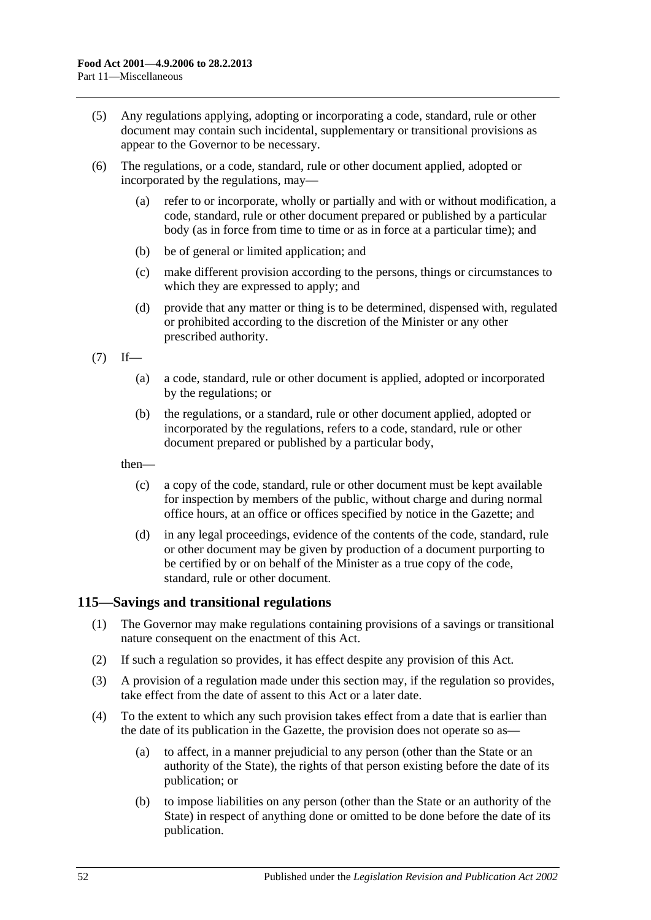- (5) Any regulations applying, adopting or incorporating a code, standard, rule or other document may contain such incidental, supplementary or transitional provisions as appear to the Governor to be necessary.
- (6) The regulations, or a code, standard, rule or other document applied, adopted or incorporated by the regulations, may—
	- (a) refer to or incorporate, wholly or partially and with or without modification, a code, standard, rule or other document prepared or published by a particular body (as in force from time to time or as in force at a particular time); and
	- (b) be of general or limited application; and
	- (c) make different provision according to the persons, things or circumstances to which they are expressed to apply; and
	- (d) provide that any matter or thing is to be determined, dispensed with, regulated or prohibited according to the discretion of the Minister or any other prescribed authority.

 $(7)$  If—

- (a) a code, standard, rule or other document is applied, adopted or incorporated by the regulations; or
- (b) the regulations, or a standard, rule or other document applied, adopted or incorporated by the regulations, refers to a code, standard, rule or other document prepared or published by a particular body,

then—

- (c) a copy of the code, standard, rule or other document must be kept available for inspection by members of the public, without charge and during normal office hours, at an office or offices specified by notice in the Gazette; and
- (d) in any legal proceedings, evidence of the contents of the code, standard, rule or other document may be given by production of a document purporting to be certified by or on behalf of the Minister as a true copy of the code, standard, rule or other document.

## <span id="page-51-0"></span>**115—Savings and transitional regulations**

- (1) The Governor may make regulations containing provisions of a savings or transitional nature consequent on the enactment of this Act.
- (2) If such a regulation so provides, it has effect despite any provision of this Act.
- (3) A provision of a regulation made under this section may, if the regulation so provides, take effect from the date of assent to this Act or a later date.
- (4) To the extent to which any such provision takes effect from a date that is earlier than the date of its publication in the Gazette, the provision does not operate so as—
	- (a) to affect, in a manner prejudicial to any person (other than the State or an authority of the State), the rights of that person existing before the date of its publication; or
	- (b) to impose liabilities on any person (other than the State or an authority of the State) in respect of anything done or omitted to be done before the date of its publication.